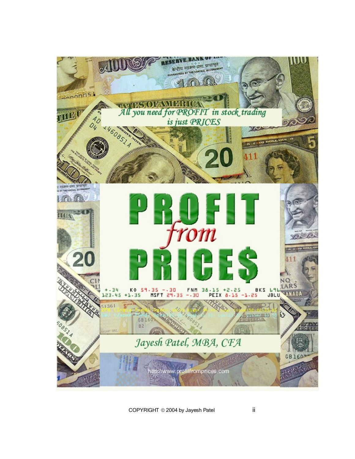

COPYRIGHT © 2004 by Jayesh Patel ii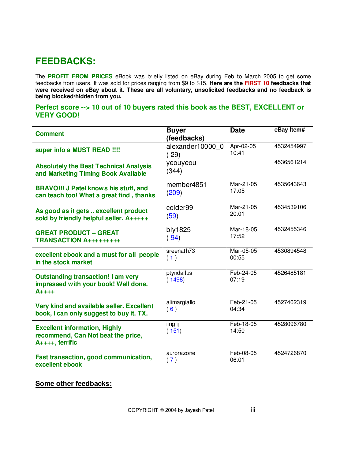# **FEEDBACKS:**

The **PROFIT FROM PRICES** eBook was briefly listed on eBay during Feb to March 2005 to get some feedbacks from users. It was sold for prices ranging from \$9 to \$15. **Here are the FIRST 10 feedbacks that**  were received on eBay about it. These are all voluntary, unsolicited feedbacks and no feedback is **being blocked/hidden from you.** 

#### **Perfect score --> 10 out of 10 buyers rated this book as the BEST, EXCELLENT or VERY GOOD!**

| <b>Comment</b>                                                                                 | <b>Buyer</b><br>(feedbacks) | <b>Date</b>        | eBay Item# |
|------------------------------------------------------------------------------------------------|-----------------------------|--------------------|------------|
| super info a MUST READ !!!!                                                                    | alexander10000 0<br>29)     | Apr-02-05<br>10:41 | 4532454997 |
| <b>Absolutely the Best Technical Analysis</b><br>and Marketing Timing Book Available           | yeouyeou<br>(344)           |                    | 4536561214 |
| <b>BRAVO!!! J Patel knows his stuff, and</b>                                                   | member4851                  | Mar-21-05          | 4535643643 |
| can teach too! What a great find, thanks                                                       | (209)                       | 17:05              |            |
| As good as it gets  excellent product                                                          | colder99                    | Mar-21-05          | 4534539106 |
| sold by friendly helpful seller. A+++++                                                        | (59)                        | 20:01              |            |
| <b>GREAT PRODUCT - GREAT</b>                                                                   | bly1825                     | Mar-18-05          | 4532455346 |
| <b>TRANSACTION A++++++++++</b>                                                                 | (94)                        | 17:52              |            |
| excellent ebook and a must for all people                                                      | sreenath73                  | Mar-05-05          | 4530894548 |
| in the stock market                                                                            | (1)                         | 00:55              |            |
| <b>Outstanding transaction! I am very</b><br>impressed with your book! Well done.<br>$A_{+++}$ | ptyndallus<br>(1498)        | Feb-24-05<br>07:19 | 4526485181 |
| Very kind and available seller. Excellent                                                      | alimargiallo                | Feb-21-05          | 4527402319 |
| book, I can only suggest to buy it. TX.                                                        | (6)                         | 04:34              |            |
| <b>Excellent information, Highly</b><br>recommend, Can Not beat the price,<br>A++++, terrific  | iinglij<br>(151)            | Feb-18-05<br>14:50 | 4528096780 |
| Fast transaction, good communication,                                                          | aurorazone                  | Feb-08-05          | 4524726870 |
| excellent ebook                                                                                | (7)                         | 06:01              |            |

#### **Some other feedbacks:**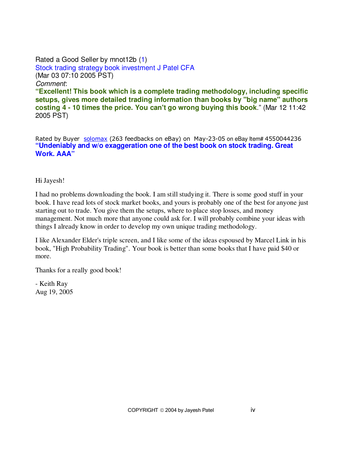Rated a Good Seller by mnot12b (1) Stock trading strategy book investment J Patel CFA (Mar 03 07:10 2005 PST) Comment: **"Excellent! This book which is a complete trading methodology, including specific setups, gives more detailed trading information than books by "big name" authors costing 4 - 10 times the price. You can't go wrong buying this book**." (Mar 12 11:42 2005 PST)

Rated by Buyer solomax (263 feedbacks on eBay) on May-23-05 on eBay Item# 4550044236 **"Undeniably and w/o exaggeration one of the best book on stock trading. Great Work. AAA"** 

Hi Jayesh!

I had no problems downloading the book. I am still studying it. There is some good stuff in your book. I have read lots of stock market books, and yours is probably one of the best for anyone just starting out to trade. You give them the setups, where to place stop losses, and money management. Not much more that anyone could ask for. I will probably combine your ideas with things I already know in order to develop my own unique trading methodology.

I like Alexander Elder's triple screen, and I like some of the ideas espoused by Marcel Link in his book, "High Probability Trading". Your book is better than some books that I have paid \$40 or more.

Thanks for a really good book!

- Keith Ray Aug 19, 2005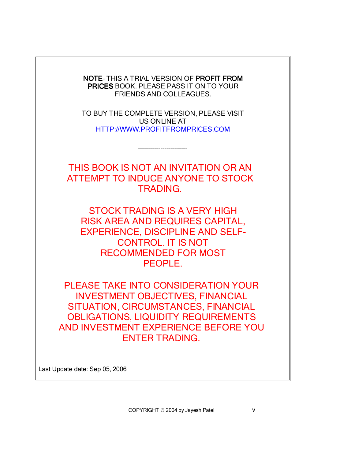NOTE- THIS A TRIAL VERSION OF PROFIT FROM PRICES BOOK. PLEASE PASS IT ON TO YOUR FRIENDS AND COLLEAGUES.

TO BUY THE COMPLETE VERSION, PLEASE VISIT US ONLINE AT HTTP://WWW.PROFITFROMPRICES.COM

------------------------

THIS BOOK IS NOT AN INVITATION OR AN ATTEMPT TO INDUCE ANYONE TO STOCK TRADING.

STOCK TRADING IS A VERY HIGH RISK AREA AND REQUIRES CAPITAL, EXPERIENCE, DISCIPLINE AND SELF-CONTROL. IT IS NOT RECOMMENDED FOR MOST PEOPLE.

PLEASE TAKE INTO CONSIDERATION YOUR INVESTMENT OBJECTIVES, FINANCIAL SITUATION, CIRCUMSTANCES, FINANCIAL OBLIGATIONS, LIQUIDITY REQUIREMENTS AND INVESTMENT EXPERIENCE BEFORE YOU ENTER TRADING.

Last Update date: Sep 05, 2006

COPYRIGHT © 2004 by Jayesh Patel v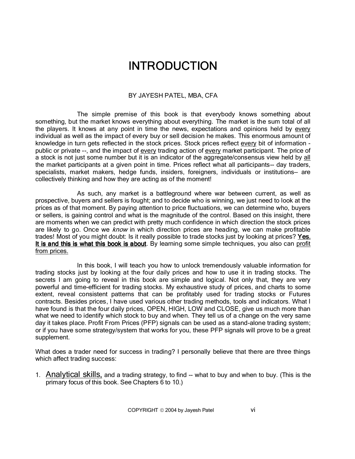# **INTRODUCTION**

#### BY JAYESH PATEL, MBA, CFA

The simple premise of this book is that everybody knows something about something, but the market knows everything about everything. The market is the sum total of all the players. It knows at any point in time the news, expectations and opinions held by every individual as well as the impact of every buy or sell decision he makes. This enormous amount of knowledge in turn gets reflected in the stock prices. Stock prices reflect every bit of information public or private --, and the impact of every trading action of every market participant. The price of a stock is not just some number but it is an indicator of the aggregate/consensus view held by all the market participants at a given point in time. Prices reflect what all participants-- day traders, specialists, market makers, hedge funds, insiders, foreigners, individuals or institutions— are collectively thinking and how they are acting as of the moment!

As such, any market is a battleground where war between current, as well as prospective, buyers and sellers is fought; and to decide who is winning, we just need to look at the prices as of that moment. By paying attention to price fluctuations, we can determine who, buyers or sellers, is gaining control and what is the magnitude of the control. Based on this insight, there are moments when we can predict with pretty much confidence in which direction the stock prices are likely to go. Once we *know* in which direction prices are heading, we can make profitable trades! Most of you might doubt: Is it really possible to trade stocks just by looking at prices? Yes. It is and this is what this book is about. By learning some simple techniques, you also can profit from prices.

In this book, I will teach you how to unlock tremendously valuable information for trading stocks just by looking at the four daily prices and how to use it in trading stocks. The secrets I am going to reveal in this book are simple and logical. Not only that, they are very powerful and time-efficient for trading stocks. My exhaustive study of prices, and charts to some extent, reveal consistent patterns that can be profitably used for trading stocks or Futures contracts. Besides prices, I have used various other trading methods, tools and indicators. What I have found is that the four daily prices, OPEN, HIGH, LOW and CLOSE, give us much more than what we need to identify which stock to buy and when. They tell us of a change on the very same day it takes place. Profit From Prices (PFP) signals can be used as a stand-alone trading system; or if you have some strategy/system that works for you, these PFP signals will prove to be a great supplement.

What does a trader need for success in trading? I personally believe that there are three things which affect trading success:

1. Analytical skills, and a trading strategy, to find -- what to buy and when to buy. (This is the primary focus of this book. See Chapters 6 to 10.)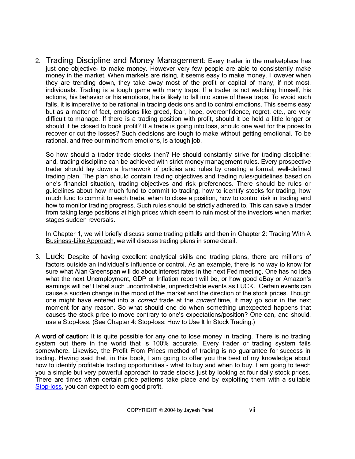2. Trading Discipline and Money Management: Every trader in the marketplace has just one objective- to make money. However very few people are able to consistently make money in the market. When markets are rising, it seems easy to make money. However when they are trending down, they take away most of the profit or capital of many, if not most, individuals. Trading is a tough game with many traps. If a trader is not watching himself, his actions, his behavior or his emotions, he is likely to fall into some of these traps. To avoid such falls, it is imperative to be rational in trading decisions and to control emotions. This seems easy but as a matter of fact, emotions like greed, fear, hope, overconfidence, regret, etc., are very difficult to manage. If there is a trading position with profit, should it be held a little longer or should it be closed to book profit? If a trade is going into loss, should one wait for the prices to recover or cut the losses? Such decisions are tough to make without getting emotional. To be rational, and free our mind from emotions, is a tough job.

So how should a trader trade stocks then? He should constantly strive for trading discipline; and, trading discipline can be achieved with strict money management rules. Every prospective trader should lay down a framework of policies and rules by creating a formal, well-defined trading plan. The plan should contain trading objectives and trading rules/guidelines based on one's financial situation, trading objectives and risk preferences. There should be rules or guidelines about how much fund to commit to trading, how to identify stocks for trading, how much fund to commit to each trade, when to close a position, how to control risk in trading and how to monitor trading progress. Such rules should be strictly adhered to. This can save a trader from taking large positions at high prices which seem to ruin most of the investors when market stages sudden reversals.

In Chapter 1, we will briefly discuss some trading pitfalls and then in Chapter 2: Trading With A Business-Like Approach, we will discuss trading plans in some detail.

3. Luck: Despite of having excellent analytical skills and trading plans, there are millions of factors outside an individual's influence or control. As an example, there is no way to know for sure what Alan Greenspan will do about interest rates in the next Fed meeting. One has no idea what the next Unemployment, GDP or Inflation report will be, or how good eBay or Amazon's earnings will be! I label such uncontrollable, unpredictable events as LUCK. Certain events can cause a sudden change in the mood of the market and the direction of the stock prices. Though one might have entered into a *correct* trade at the *correct* time, it may go sour in the next moment for any reason. So what should one do when something unexpected happens that causes the stock price to move contrary to one's expectations/position? One can, and should, use a Stop-loss. (See Chapter 4: Stop-loss: How to Use It In Stock Trading.)

A word of caution: It is quite possible for any one to lose money in trading. There is no trading system out there in the world that is 100% accurate. Every trader or trading system fails somewhere. Likewise, the Profit From Prices method of trading is no guarantee for success in trading. Having said that, in this book, I am going to offer you the best of my knowledge about how to identify profitable trading opportunities - what to buy and when to buy. I am going to teach you a simple but very powerful approach to trade stocks just by looking at four daily stock prices. There are times when certain price patterns take place and by exploiting them with a suitable Stop-loss, you can expect to earn good profit.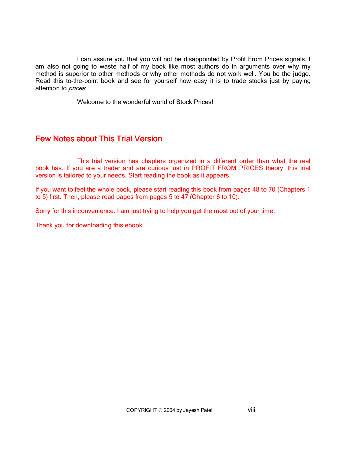I can assure you that you will not be disappointed by Profit From Prices signals. I am also not going to waste half of my book like most authors do in arguments over why my method is superior to other methods or why other methods do not work well. You be the judge. Read this to-the-point book and see for yourself how easy it is to trade stocks just by paying attention to *prices*.

Welcome to the wonderful world of Stock Prices!

## **Few Notes about This Trial Version**

This trial version has chapters organized in a different order than what the real book has. If you are a trader and are curious just in PROFIT FROM PRICES theory, this trial version is tailored to your needs. Start reading the book as it appears.

If you want to feel the whole book, please start reading this book from pages 48 to 70 (Chapters 1 to 5) first. Then, please read pages from pages 5 to 47 (Chapter 6 to 10).

Sorry for this inconvenience. I am just trying to help you get the most out of your time.

Thank you for downloading this ebook.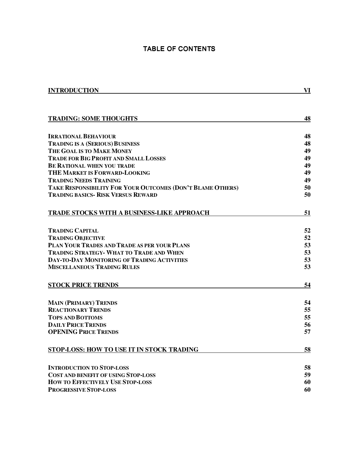#### TABLE OF CONTENTS

| <b>INTRODUCTION</b>                                        | VI |
|------------------------------------------------------------|----|
|                                                            |    |
| <b>TRADING: SOME THOUGHTS</b>                              | 48 |
| <b>IRRATIONAL BEHAVIOUR</b>                                | 48 |
| <b>TRADING IS A (SERIOUS) BUSINESS</b>                     | 48 |
| THE GOAL IS TO MAKE MONEY                                  | 49 |
| <b>TRADE FOR BIG PROFIT AND SMALL LOSSES</b>               | 49 |
| <b>BE RATIONAL WHEN YOU TRADE</b>                          | 49 |
| <b>THE MARKET IS FORWARD-LOOKING</b>                       | 49 |
| <b>TRADING NEEDS TRAINING</b>                              | 49 |
| TAKE RESPONSIBILITY FOR YOUR OUTCOMES (DON'T BLAME OTHERS) | 50 |
| <b>TRADING BASICS- RISK VERSUS REWARD</b>                  | 50 |
| <b>TRADE STOCKS WITH A BUSINESS-LIKE APPROACH</b>          | 51 |
| <b>TRADING CAPITAL</b>                                     | 52 |
| <b>TRADING OBJECTIVE</b>                                   | 52 |
| PLAN YOUR TRADES AND TRADE AS PER YOUR PLANS               | 53 |
| <b>TRADING STRATEGY- WHAT TO TRADE AND WHEN</b>            | 53 |
| <b>DAY-TO-DAY MONITORING OF TRADING ACTIVITIES</b>         | 53 |
| <b>MISCELLANEOUS TRADING RULES</b>                         | 53 |
| <b>STOCK PRICE TRENDS</b>                                  | 54 |
| <b>MAIN (PRIMARY) TRENDS</b>                               | 54 |
| <b>REACTIONARY TRENDS</b>                                  | 55 |
| <b>TOPS AND BOTTOMS</b>                                    | 55 |
| <b>DAILY PRICE TRENDS</b>                                  | 56 |
| <b>OPENING PRICE TRENDS</b>                                | 57 |
| <b>STOP-LOSS: HOW TO USE IT IN STOCK TRADING</b>           | 58 |
| <b>INTRODUCTION TO STOP-LOSS</b>                           | 58 |
| <b>COST AND BENEFIT OF USING STOP-LOSS</b>                 | 59 |
| <b>HOW TO EFFECTIVELY USE STOP-LOSS</b>                    | 60 |
| <b>PROGRESSIVE STOP-LOSS</b>                               | 60 |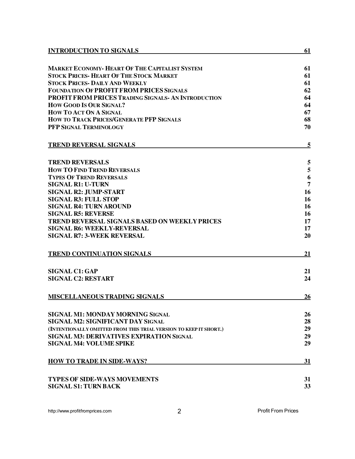| <b>INTRODUCTION TO SIGNALS</b>                                    | 61             |
|-------------------------------------------------------------------|----------------|
| <b>MARKET ECONOMY- HEART OF THE CAPITALIST SYSTEM</b>             | 61             |
| <b>STOCK PRICES- HEART OF THE STOCK MARKET</b>                    | 61             |
| <b>STOCK PRICES- DAILY AND WEEKLY</b>                             | 61             |
| <b>FOUNDATION OF PROFIT FROM PRICES SIGNALS</b>                   | 62             |
| <b>PROFIT FROM PRICES TRADING SIGNALS- AN INTRODUCTION</b>        | 64             |
| <b>HOW GOOD IS OUR SIGNAL?</b>                                    | 64             |
| HOW TO ACT ON A SIGNAL                                            | 67             |
| <b>HOW TO TRACK PRICES/GENERATE PFP SIGNALS</b>                   | 68             |
| PFP SIGNAL TERMINOLOGY                                            | 70             |
| <b>TREND REVERSAL SIGNALS</b>                                     | 5              |
| <b>TREND REVERSALS</b>                                            | 5              |
| <b>HOW TO FIND TREND REVERSALS</b>                                | 5              |
| <b>TYPES OF TREND REVERSALS</b>                                   | 6              |
| <b>SIGNAL R1: U-TURN</b>                                          | $\overline{7}$ |
| <b>SIGNAL R2: JUMP-START</b>                                      | 16             |
| <b>SIGNAL R3: FULL STOP</b>                                       | 16             |
| <b>SIGNAL R4: TURN AROUND</b>                                     | 16             |
| <b>SIGNAL R5: REVERSE</b>                                         | 16             |
| TREND REVERSAL SIGNALS BASED ON WEEKLY PRICES                     | 17             |
| <b>SIGNAL R6: WEEKLY-REVERSAL</b>                                 | 17             |
| <b>SIGNAL R7: 3-WEEK REVERSAL</b>                                 | 20             |
| <b>TREND CONTINUATION SIGNALS</b>                                 | 21             |
| <b>SIGNAL C1: GAP</b>                                             | 21             |
| <b>SIGNAL C2: RESTART</b>                                         | 24             |
| <b>MISCELLANEOUS TRADING SIGNALS</b>                              | 26             |
| <b>SIGNAL M1: MONDAY MORNING SIGNAL</b>                           | 26             |
| SIGNAL M2: SIGNIFICANT DAY SIGNAL                                 | 28             |
| (INTENTIONALLY OMITTED FROM THIS TRIAL VERSION TO KEEP IT SHORT.) | 29             |
| <b>SIGNAL M3: DERIVATIVES EXPIRATION SIGNAL</b>                   | 29             |
| <b>SIGNAL M4: VOLUME SPIKE</b>                                    | 29             |
| <b>HOW TO TRADE IN SIDE-WAYS?</b>                                 | 31             |
| <b>TYPES OF SIDE-WAYS MOVEMENTS</b>                               | 31             |
| <b>SIGNAL S1: TURN BACK</b>                                       | 33             |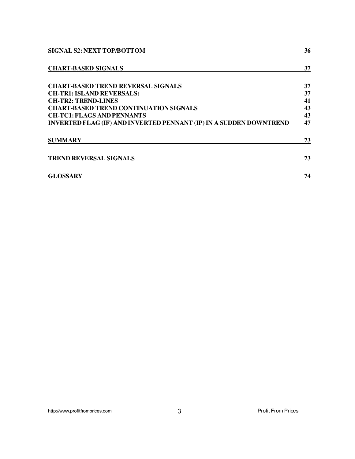| <b>SIGNAL S2: NEXT TOP/BOTTOM</b>                                         | 36 |
|---------------------------------------------------------------------------|----|
| <b>CHART-BASED SIGNALS</b>                                                | 37 |
| <b>CHART-BASED TREND REVERSAL SIGNALS</b>                                 | 37 |
| <b>CH-TR1: ISLAND REVERSALS:</b>                                          | 37 |
| <b>CH-TR2: TREND-LINES</b>                                                | 41 |
| <b>CHART-BASED TREND CONTINUATION SIGNALS</b>                             | 43 |
| <b>CH-TC1: FLAGS AND PENNANTS</b>                                         | 43 |
| <b>INVERTED FLAG (IF) AND INVERTED PENNANT (IP) IN A SUDDEN DOWNTREND</b> | 47 |
| <b>SUMMARY</b>                                                            | 73 |
| <b>TREND REVERSAL SIGNALS</b>                                             | 73 |
| <b>OSSARY</b>                                                             | 74 |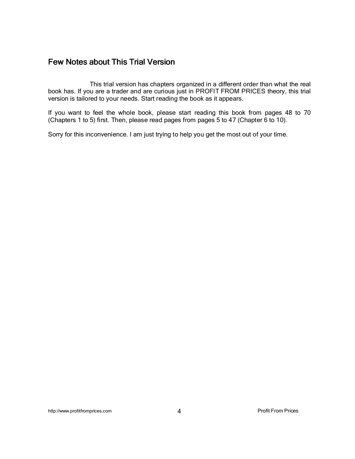## Few Notes about This Trial Version

This trial version has chapters organized in a different order than what the real book has. If you are a trader and are curious just in PROFIT FROM PRICES theory, this trial version is tailored to your needs. Start reading the book as it appears.

If you want to feel the whole book, please start reading this book from pages 48 to 70 (Chapters 1 to 5) first. Then, please read pages from pages 5 to 47 (Chapter 6 to 10).

Sorry for this inconvenience. I am just trying to help you get the most out of your time.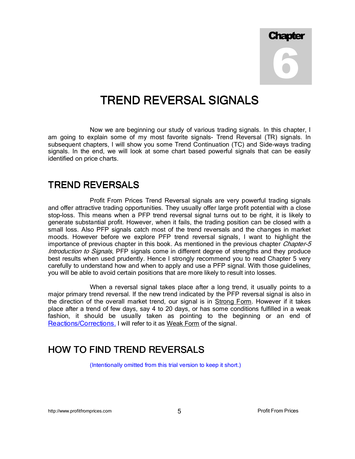Chapter 6

# TREND REVERSAL SIGNALS

Now we are beginning our study of various trading signals. In this chapter, I am going to explain some of my most favorite signals- Trend Reversal (TR) signals. In subsequent chapters, I will show you some Trend Continuation (TC) and Side-ways trading signals. In the end, we will look at some chart based powerful signals that can be easily identified on price charts.

# TREND REVERSALS

Profit From Prices Trend Reversal signals are very powerful trading signals and offer attractive trading opportunities. They usually offer large profit potential with a close stop-loss. This means when a PFP trend reversal signal turns out to be right, it is likely to generate substantial profit. However, when it fails, the trading position can be closed with a small loss. Also PFP signals catch most of the trend reversals and the changes in market moods. However before we explore PFP trend reversal signals, I want to highlight the importance of previous chapter in this book. As mentioned in the previous chapter *Chapter-5* Introduction to Signals, PFP signals come in different degree of strengths and they produce best results when used prudently. Hence I strongly recommend you to read Chapter 5 very carefully to understand how and when to apply and use a PFP signal. With those guidelines, you will be able to avoid certain positions that are more likely to result into losses.

When a reversal signal takes place after a long trend, it usually points to a major primary trend reversal. If the new trend indicated by the PFP reversal signal is also in the direction of the overall market trend, our signal is in Strong Form. However if it takes place after a trend of few days, say 4 to 20 days, or has some conditions fulfilled in a weak fashion, it should be usually taken as pointing to the beginning or an end of Reactions/Corrections. I will refer to it as Weak Form of the signal.

# HOW TO FIND TREND REVERSALS

(Intentionally omitted from this trial version to keep it short.)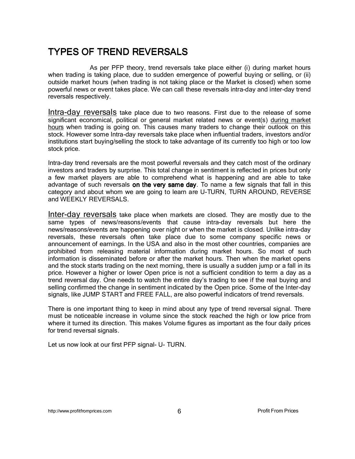# TYPES OF TREND REVERSALS

As per PFP theory, trend reversals take place either (i) during market hours when trading is taking place, due to sudden emergence of powerful buying or selling, or (ii) outside market hours (when trading is not taking place or the Market is closed) when some powerful news or event takes place. We can call these reversals intra-day and inter-day trend reversals respectively.

Intra-day reversals take place due to two reasons. First due to the release of some significant economical, political or general market related news or event(s) during market hours when trading is going on. This causes many traders to change their outlook on this stock. However some Intra-day reversals take place when influential traders, investors and/or institutions start buying/selling the stock to take advantage of its currently too high or too low stock price.

Intra-day trend reversals are the most powerful reversals and they catch most of the ordinary investors and traders by surprise. This total change in sentiment is reflected in prices but only a few market players are able to comprehend what is happening and are able to take advantage of such reversals on the very same day. To name a few signals that fall in this category and about whom we are going to learn are U-TURN, TURN AROUND, REVERSE and WEEKLY REVERSALS.

Inter-day reversals take place when markets are closed. They are mostly due to the same types of news/reasons/events that cause intra-day reversals but here the news/reasons/events are happening over night or when the market is closed. Unlike intra-day reversals, these reversals often take place due to some company specific news or announcement of earnings. In the USA and also in the most other countries, companies are prohibited from releasing material information during market hours. So most of such information is disseminated before or after the market hours. Then when the market opens and the stock starts trading on the next morning, there is usually a sudden jump or a fall in its price. However a higher or lower Open price is not a sufficient condition to term a day as a trend reversal day. One needs to watch the entire day's trading to see if the real buying and selling confirmed the change in sentiment indicated by the Open price. Some of the Inter-day signals, like JUMP START and FREE FALL, are also powerful indicators of trend reversals.

There is one important thing to keep in mind about any type of trend reversal signal. There must be noticeable increase in volume since the stock reached the high or low price from where it turned its direction. This makes Volume figures as important as the four daily prices for trend reversal signals.

Let us now look at our first PFP signal- U- TURN.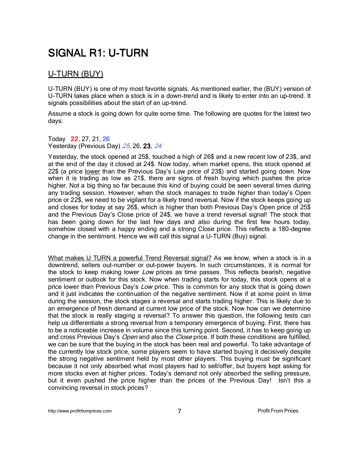# SIGNAL R1: U-TURN

# U-TURN (BUY)

U-TURN (BUY) is one of my most favorite signals. As mentioned earlier, the (BUY) version of U-TURN takes place when a stock is in a down-trend and is likely to enter into an up-trend. It signals possibilities about the start of an up-trend.

Assume a stock is going down for quite some time. The following are quotes for the latest two days:

Today 22, 27, 21, 26 Yesterday (Previous Day) 25, 26, 23, 24

Yesterday, the stock opened at 25\$, touched a high of 26\$ and a new recent low of 23\$, and at the end of the day it closed at 24\$. Now today, when market opens, this stock opened at 22\$ (a price lower than the Previous Day's Low price of 23\$) and started going down. Now when it is trading as low as 21\$, there are signs of fresh buying which pushes the price higher. Not a big thing so far because this kind of buying could be seen several times during any trading session. However, when the stock manages to trade higher than today's Open price or 22\$, we need to be vigilant for a likely trend reversal. Now if the stock keeps going up and closes for today at say 26\$, which is higher than both Previous Day's Open price of 25\$ and the Previous Day's Close price of 24\$, we have a trend reversal signal! The stock that has been going down for the last few days and also during the first few hours today, somehow closed with a happy ending and a strong Close price. This reflects a 180-degree change in the sentiment. Hence we will call this signal a U-TURN (Buy) signal.

What makes U TURN a powerful Trend Reversal signal? As we know, when a stock is in a downtrend, sellers out-number or out-power buyers. In such circumstances, it is normal for the stock to keep making lower *Low* prices as time passes. This reflects bearish, negative sentiment or outlook for this stock. Now when trading starts for today, this stock opens at a price lower than Previous Day's Low price. This is common for any stock that is going down and it just indicates the continuation of the negative sentiment. Now if at some point in time during the session, the stock stages a reversal and starts trading higher. This is likely due to an emergence of fresh demand at current low price of the stock. Now how can we determine that the stock is really staging a reversal? To answer this question, the following tests can help us differentiate a strong reversal from a temporary emergence of buying. First, there has to be a noticeable increase in volume since this turning point. Second, it has to keep going up and cross Previous Day's Open and also the Close price. If both these conditions are fulfilled, we can be sure that the buying in the stock has been real and powerful. To take advantage of the currently low stock price, some players seem to have started buying it decisively despite the strong negative sentiment held by most other players. This buying must be significant because it not only absorbed what most players had to sell/offer, but buyers kept asking for more stocks even at higher prices. Today's demand not only absorbed the selling pressure, but it even pushed the price higher than the prices of the Previous Day! Isn't this a convincing reversal in stock prices?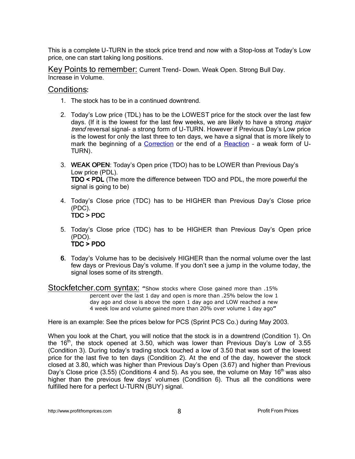This is a complete U-TURN in the stock price trend and now with a Stop-loss at Today's Low price, one can start taking long positions.

Key Points to remember: Current Trend- Down. Weak Open. Strong Bull Day. Increase in Volume.

#### Conditions:

- 1. The stock has to be in a continued downtrend.
- 2. Today's Low price (TDL) has to be the LOWEST price for the stock over the last few days. (If it is the lowest for the last few weeks, we are likely to have a strong *major* trend reversal signal- a strong form of U-TURN. However if Previous Day's Low price is the lowest for only the last three to ten days, we have a signal that is more likely to mark the beginning of a Correction or the end of a Reaction – a weak form of U-TURN).
- 3. WEAK OPEN: Today's Open price (TDO) has to be LOWER than Previous Day's Low price (PDL). TDO < PDL (The more the difference between TDO and PDL, the more powerful the signal is going to be)
- 4. Today's Close price (TDC) has to be HIGHER than Previous Day's Close price (PDC).  $TDC > PDC$
- 5. Today's Close price (TDC) has to be HIGHER than Previous Day's Open price (PDO). TDC > PDO > PDO
- 6. Today's Volume has to be decisively HIGHER than the normal volume over the last few days or Previous Day's volume. If you don't see a jump in the volume today, the signal loses some of its strength.

Stockfetcher.com syntax: "Show stocks where Close gained more than .15% percent over the last 1 day and open is more than .25% below the low 1 day ago and close is above the open 1 day ago and LOW reached a new 4 week low and volume gained more than 20% over volume 1 day ago"

Here is an example: See the prices below for PCS (Sprint PCS Co.) during May 2003.

When you look at the Chart, you will notice that the stock is in a downtrend (Condition 1). On the  $16<sup>th</sup>$ , the stock opened at 3.50, which was lower than Previous Day's Low of 3.55 (Condition 3). During today's trading stock touched a low of 3.50 that was sort of the lowest price for the last five to ten days (Condition 2). At the end of the day, however the stock closed at 3.80, which was higher than Previous Day's Open (3.67) and higher than Previous Day's Close price (3.55) (Conditions 4 and 5). As you see, the volume on May  $16<sup>th</sup>$  was also higher than the previous few days' volumes (Condition 6). Thus all the conditions were fulfilled here for a perfect U-TURN (BUY) signal.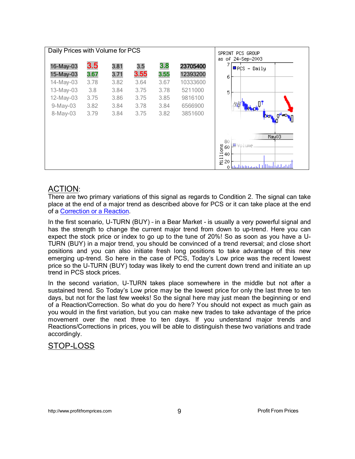| Daily Prices with Volume for PCS |              |              |              |              |                      | SPRINT PCS GROUP<br>as of 24-Sep-2003                                                    |
|----------------------------------|--------------|--------------|--------------|--------------|----------------------|------------------------------------------------------------------------------------------|
| 16-May-03<br>15-May-03           | 3.5<br>3.67  | 3.81<br>3.71 | 3.5<br>3.55  | 3.8<br>3.55  | 23705400<br>12393200 | $\blacksquare$ PCS - Daily                                                               |
| 14-May-03                        | 3.78         | 3.82         | 3.64         | 3.67         | 10333600             | 6                                                                                        |
| 13-May-03                        | 3.8          | 3.84         | 3.75         | 3.78         | 5211000<br>9816100   | 5                                                                                        |
| 12-May-03<br>$9-May-03$          | 3.75<br>3.82 | 3.86<br>3.84 | 3.75<br>3.78 | 3.85<br>3.84 | 6566900              | kho                                                                                      |
| 8-May-03                         | 3.79         | 3.84         | 3.75         | 3.82         | 3851600              |                                                                                          |
|                                  |              |              |              |              |                      |                                                                                          |
|                                  |              |              |              |              |                      | May03<br>80<br>■Volume                                                                   |
|                                  |              |              |              |              |                      | $\frac{8}{5}$ 60<br>$\frac{60}{140}$<br>40<br>$\overline{\phantom{0}}$<br>$\overline{ }$ |
|                                  |              |              |              |              |                      | 분 20<br>t illfioliddaeth<br>بسمينا باللما                                                |

#### ACTION:

There are two primary variations of this signal as regards to Condition 2. The signal can take place at the end of a major trend as described above for PCS or it can take place at the end of a Correction or a Reaction.

In the first scenario, U-TURN (BUY) – in a Bear Market - is usually a very powerful signal and has the strength to change the current major trend from down to up-trend. Here you can expect the stock price or index to go up to the tune of 20%! So as soon as you have a U-TURN (BUY) in a major trend, you should be convinced of a trend reversal; and close short positions and you can also initiate fresh long positions to take advantage of this new emerging up-trend. So here in the case of PCS, Today's Low price was the recent lowest price so the U-TURN (BUY) today was likely to end the current down trend and initiate an up trend in PCS stock prices.

In the second variation, U-TURN takes place somewhere in the middle but not after a sustained trend. So Today's Low price may be the lowest price for only the last three to ten days, but not for the last few weeks! So the signal here may just mean the beginning or end of a Reaction/Correction. So what do you do here? You should not expect as much gain as you would in the first variation, but you can make new trades to take advantage of the price movement over the next three to ten days. If you understand major trends and Reactions/Corrections in prices, you will be able to distinguish these two variations and trade accordingly.

#### STOP-LOSS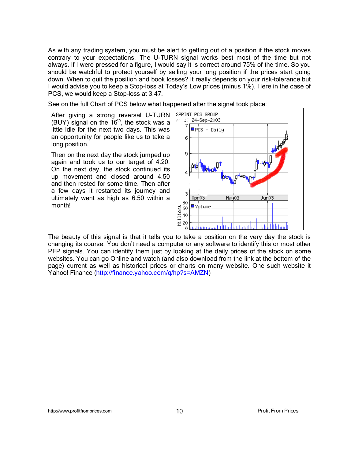As with any trading system, you must be alert to getting out of a position if the stock moves contrary to your expectations. The U-TURN signal works best most of the time but not always. If I were pressed for a figure, I would say it is correct around 75% of the time. So you should be watchful to protect yourself by selling your long position if the prices start going down. When to quit the position and book losses? It really depends on your risk-tolerance but I would advise you to keep a Stop-loss at Today's Low prices (minus 1%). Here in the case of PCS, we would keep a Stop-loss at 3.47.

See on the full Chart of PCS below what happened after the signal took place:



The beauty of this signal is that it tells you to take a position on the very day the stock is changing its course. You don't need a computer or any software to identify this or most other PFP signals. You can identify them just by looking at the daily prices of the stock on some websites. You can go Online and watch (and also download from the link at the bottom of the page) current as well as historical prices or charts on many website. One such website it Yahoo! Finance (http://finance.yahoo.com/q/hp?s=AMZN)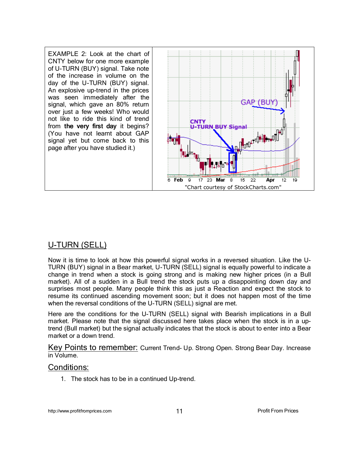EXAMPLE  $2<sup>+</sup>$  Look at the chart of CNTY below for one more example of U-TURN (BUY) signal. Take note of the increase in volume on the day of the U-TURN (BUY) signal. An explosive up-trend in the prices was seen immediately after the signal, which gave an 80% return over just a few weeks! Who would not like to ride this kind of trend from the very first day it begins? (You have not learnt about GAP signal yet but come back to this page after you have studied it.)



#### U-TURN (SELL)

Now it is time to look at how this powerful signal works in a reversed situation. Like the U-TURN (BUY) signal in a Bear market, U-TURN (SELL) signal is equally powerful to indicate a change in trend when a stock is going strong and is making new higher prices (in a Bull market). All of a sudden in a Bull trend the stock puts up a disappointing down day and surprises most people. Many people think this as just a Reaction and expect the stock to resume its continued ascending movement soon; but it does not happen most of the time when the reversal conditions of the U-TURN (SELL) signal are met.

Here are the conditions for the U-TURN (SELL) signal with Bearish implications in a Bull market. Please note that the signal discussed here takes place when the stock is in a uptrend (Bull market) but the signal actually indicates that the stock is about to enter into a Bear market or a down trend.

Key Points to remember: Current Trend- Up. Strong Open. Strong Bear Day. Increase in Volume.

#### Conditions:

1. The stock has to be in a continued Up-trend.

http://www.profitfromprices.com **11** 11 Profit From Prices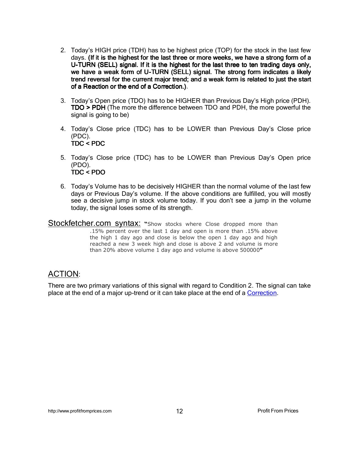- 2. Today's HIGH price (TDH) has to be highest price (TOP) for the stock in the last few days. (If it is the highest for the last three or more weeks, we have a strong form of a U-TURN (SELL) signal. If it is the highest for the last three to ten trading days only, we have a weak form of U-TURN (SELL) signal. The strong form indicates a likely trend reversal for the current major trend; and a weak form is related to just the start of a Reaction or the end of a Correction.).
- 3. Today's Open price (TDO) has to be HIGHER than Previous Day's High price (PDH). TDO > PDH (The more the difference between TDO and PDH, the more powerful the signal is going to be)
- 4. Today's Close price (TDC) has to be LOWER than Previous Day's Close price (PDC). TDC < PDC < PDC
- 5. Today's Close price (TDC) has to be LOWER than Previous Day's Open price (PDO). TDC < PDO < PDO
- 6. Today's Volume has to be decisively HIGHER than the normal volume of the last few days or Previous Day's volume. If the above conditions are fulfilled, you will mostly see a decisive jump in stock volume today. If you don't see a jump in the volume today, the signal loses some of its strength.

**Stockfetcher.com syntax:** "Show stocks where Close dropped more than .15% percent over the last 1 day and open is more than .15% above the high 1 day ago and close is below the open 1 day ago and high reached a new 3 week high and close is above 2 and volume is more than 20% above volume 1 day ago and volume is above 500000"

#### ACTION:

There are two primary variations of this signal with regard to Condition 2. The signal can take place at the end of a major up-trend or it can take place at the end of a Correction.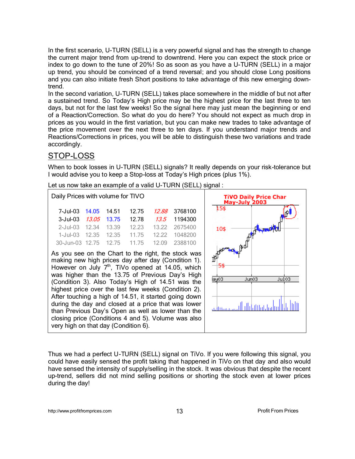In the first scenario, U-TURN (SELL) is a very powerful signal and has the strength to change the current major trend from up-trend to downtrend. Here you can expect the stock price or index to go down to the tune of 20%! So as soon as you have a U-TURN (SELL) in a major up trend, you should be convinced of a trend reversal; and you should close Long positions and you can also initiate fresh Short positions to take advantage of this new emerging downtrend.

In the second variation, U-TURN (SELL) takes place somewhere in the middle of but not after a sustained trend. So Today's High price may be the highest price for the last three to ten days, but not for the last few weeks! So the signal here may just mean the beginning or end of a Reaction/Correction. So what do you do here? You should not expect as much drop in prices as you would in the first variation, but you can make new trades to take advantage of the price movement over the next three to ten days. If you understand major trends and Reactions/Corrections in prices, you will be able to distinguish these two variations and trade accordingly.

## STOP-LOSS

When to book losses in U-TURN (SELL) signals? It really depends on your risk-tolerance but I would advise you to keep a Stop-loss at Today's High prices (plus 1%).

Let us now take an example of a valid U-TURN (SELL) signal:

| Daily Prices with volume for TIVO         |  |  |                                                    |  |  |  |  |
|-------------------------------------------|--|--|----------------------------------------------------|--|--|--|--|
|                                           |  |  | 7-Jul-03  14.05  14.51  12.75 <i>12.88</i> 3768100 |  |  |  |  |
|                                           |  |  | 3-Jul-03  13.05  13.75  12.78  13.5  1194300       |  |  |  |  |
| 2-Jul-03 12.34 13.39 12.23 13.22 2675400  |  |  |                                                    |  |  |  |  |
|                                           |  |  | 1-Jul-03 12.35 12.35 11.75 12.22 1048200           |  |  |  |  |
| 30-Jun-03 12.75 12.75 11.75 12.09 2388100 |  |  |                                                    |  |  |  |  |

As you see on the Chart to the right, the stock was making new high prices day after day (Condition 1). However on July 7<sup>th</sup>, TiVo opened at 14.05, which was higher than the 13.75 of Previous Day's High (Condition 3). Also Today's High of 14.51 was the highest price over the last few weeks (Condition 2). After touching a high of 14.51, it started going down during the day and closed at a price that was lower than Previous Day's Open as well as lower than the closing price (Conditions 4 and 5). Volume was also very high on that day (Condition 6).



Thus we had a perfect U-TURN (SELL) signal on TiVo. If you were following this signal, you could have easily sensed the profit taking that happened in TiVo on that day and also would have sensed the intensity of supply/selling in the stock. It was obvious that despite the recent up-trend, sellers did not mind selling positions or shorting the stock even at lower prices during the day!

http://www.profitfromprices.com 13 13 Profit From Prices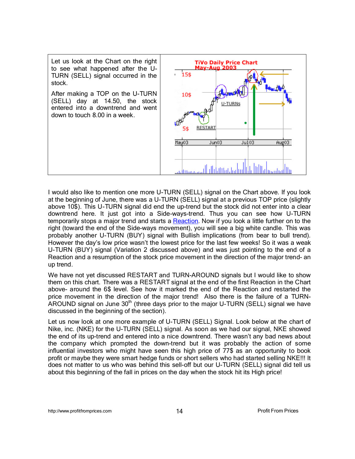

I would also like to mention one more U-TURN (SELL) signal on the Chart above. If you look at the beginning of June, there was a U-TURN (SELL) signal at a previous TOP price (slightly above 10\$). This U-TURN signal did end the up-trend but the stock did not enter into a clear downtrend here. It just got into a Side-ways-trend. Thus you can see how U-TURN temporarily stops a major trend and starts a Reaction. Now if you look a little further on to the right (toward the end of the Side-ways movement), you will see a big white candle. This was probably another U-TURN (BUY) signal with Bullish implications (from bear to bull trend). However the day's low price wasn't the lowest price for the last few weeks! So it was a weak U-TURN (BUY) signal (Variation 2 discussed above) and was just pointing to the end of a Reaction and a resumption of the stock price movement in the direction of the major trend- an up trend.

We have not yet discussed RESTART and TURN-AROUND signals but I would like to show them on this chart. There was a RESTART signal at the end of the first Reaction in the Chart above- around the 6\$ level. See how it marked the end of the Reaction and restarted the price movement in the direction of the major trend! Also there is the failure of a TURN-AROUND signal on June  $30<sup>th</sup>$  (three days prior to the major U-TURN (SELL) signal we have discussed in the beginning of the section).

Let us now look at one more example of U-TURN (SELL) Signal. Look below at the chart of Nike, inc. (NKE) for the U-TURN (SELL) signal. As soon as we had our signal, NKE showed the end of its up-trend and entered into a nice downtrend. There wasn't any bad news about the company which prompted the down-trend but it was probably the action of some influential investors who might have seen this high price of 77\$ as an opportunity to book profit or maybe they were smart hedge funds or short sellers who had started selling NKE!!! It does not matter to us who was behind this sell-off but our U-TURN (SELL) signal did tell us about this beginning of the fall in prices on the day when the stock hit its High price!

http://www.profitfromprices.com **14** 14 Profit From Prices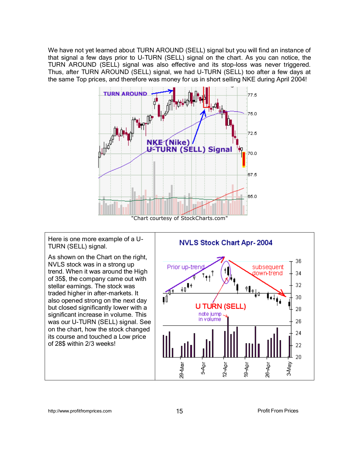We have not yet learned about TURN AROUND (SELL) signal but you will find an instance of that signal a few days prior to U-TURN (SELL) signal on the chart. As you can notice, the TURN AROUND (SELL) signal was also effective and its stop-loss was never triggered. Thus, after TURN AROUND (SELL) signal, we had U-TURN (SELL) too after a few days at the same Top prices, and therefore was money for us in short selling NKE during April 2004!



Here is one more example of a U-TURN (SELL) signal.

As shown on the Chart on the right, NVLS stock was in a strong up trend. When it was around the High of 35\$, the company came out with stellar earnings. The stock was traded higher in after-markets. It also opened strong on the next day but closed significantly lower with a significant increase in volume. This was our U-TURN (SELL) signal. See on the chart, how the stock changed its course and touched a Low price of 28\$ within 2/3 weeks!



http://www.profitfromprices.com 15 15 Profit From Prices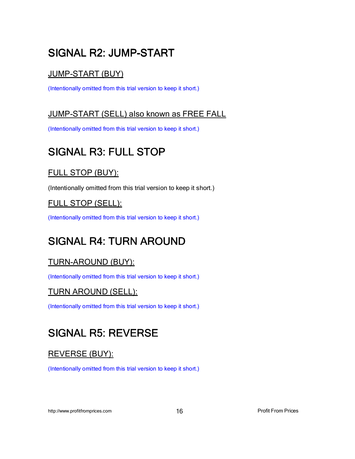# SIGNAL R2: JUMP-START

# JUMP-START (BUY)

(Intentionally omitted from this trial version to keep it short.)

# JUMP-START (SELL) also known as FREE FALL

(Intentionally omitted from this trial version to keep it short.)

# SIGNAL R3: FULL STOP

# FULL STOP (BUY):

(Intentionally omitted from this trial version to keep it short.)

# FULL STOP (SELL):

(Intentionally omitted from this trial version to keep it short.)

# SIGNAL R4: TURN AROUND

# TURN-AROUND (BUY):

(Intentionally omitted from this trial version to keep it short.)

# TURN AROUND (SELL):

(Intentionally omitted from this trial version to keep it short.)

# **SIGNAL R5: REVERSE**

# REVERSE (BUY):

(Intentionally omitted from this trial version to keep it short.)

http://www.profitfromprices.com 16 16 Profit From Prices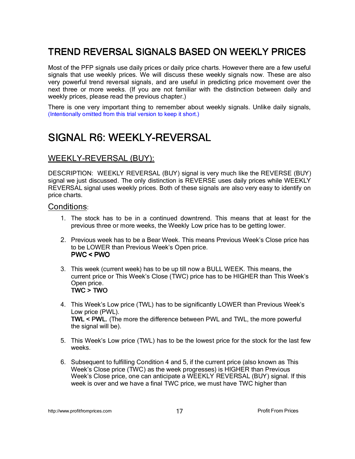# TREND REVERSAL SIGNALS BASED ON WEEKLY PRICES

Most of the PFP signals use daily prices or daily price charts. However there are a few useful signals that use weekly prices. We will discuss these weekly signals now. These are also very powerful trend reversal signals, and are useful in predicting price movement over the next three or more weeks. (If you are not familiar with the distinction between daily and weekly prices, please read the previous chapter.)

There is one very important thing to remember about weekly signals. Unlike daily signals, (Intentionally omitted from this trial version to keep it short.)

# SIGNAL R6: WEEKLY-REVERSAL

#### WEEKLY-REVERSAL (BUY):

DESCRIPTION: WEEKLY REVERSAL (BUY) signal is very much like the REVERSE (BUY) signal we just discussed. The only distinction is REVERSE uses daily prices while WEEKLY REVERSAL signal uses weekly prices. Both of these signals are also very easy to identify on price charts.

#### Conditions:

- 1. The stock has to be in a continued downtrend. This means that at least for the previous three or more weeks, the Weekly Low price has to be getting lower.
- 2. Previous week has to be a Bear Week. This means Previous Week's Close price has to be LOWER than Previous Week's Open price. PWC < PWO
- 3. This week (current week) has to be up till now a BULL WEEK. This means, the current price or This Week's Close (TWC) price has to be HIGHER than This Week's Open price.  $TWC > TWO$
- 4. This Week's Low price (TWL) has to be significantly LOWER than Previous Week's Low price (PWL). TWL < PWL. (The more the difference between PWL and TWL, the more powerful the signal will be).
- 5. This Week's Low price (TWL) has to be the lowest price for the stock for the last few weeks.
- 6. Subsequent to fulfilling Condition 4 and 5, if the current price (also known as This Week's Close price (TWC) as the week progresses) is HIGHER than Previous Week's Close price, one can anticipate a WEEKLY REVERSAL (BUY) signal. If this week is over and we have a final TWC price, we must have TWC higher than

http://www.profitfromprices.com **17** 17 Profit From Prices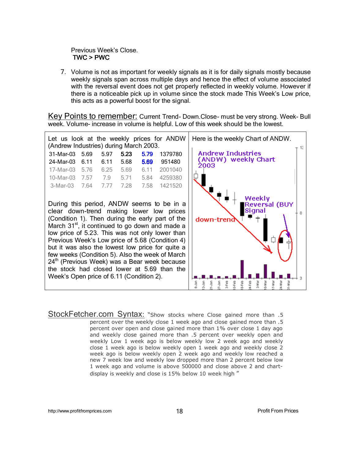#### Previous Week's Close.  $TWC > PWC$

7. Volume is not as important for weekly signals as it is for daily signals mostly because weekly signals span across multiple days and hence the effect of volume associated with the reversal event does not get properly reflected in weekly volume. However if there is a noticeable pick up in volume since the stock made This Week's Low price, this acts as a powerful boost for the signal.

Key Points to remember: Current Trend- Down.Close- must be very strong. Week- Bull week. Volume- increase in volume is helpful. Low of this week should be the lowest.



StockFetcher.com Syntax: "Show stocks where Close gained more than .5 percent over the weekly close 1 week ago and close gained more than .5 percent over open and close gained more than 1% over close 1 day ago and weekly close gained more than .5 percent over weekly open and weekly Low 1 week ago is below weekly low 2 week ago and weekly close 1 week ago is below weekly open 1 week ago and weekly close 2 week ago is below weekly open 2 week ago and weekly low reached a new 7 week low and weekly low dropped more than 2 percent below low 1 week ago and volume is above 500000 and close above 2 and chartdisplay is weekly and close is 15% below 10 week high "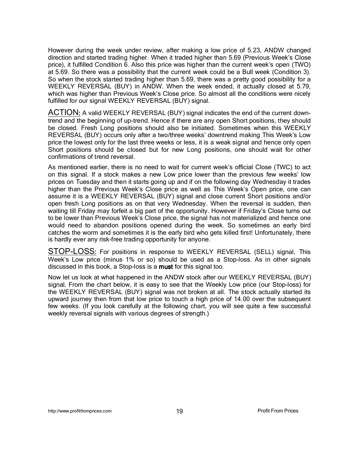However during the week under review, after making a low price of 5.23, ANDW changed direction and started trading higher. When it traded higher than 5.69 (Previous Week's Close price), it fulfilled Condition 6. Also this price was higher than the current week's open (TWO) at 5.69. So there was a possibility that the current week could be a Bull week (Condition 3). So when the stock started trading higher than 5.69, there was a pretty good possibility for a WEEKLY REVERSAL (BUY) in ANDW. When the week ended, it actually closed at 5.79, which was higher than Previous Week's Close price. So almost all the conditions were nicely fulfilled for our signal WEEKLY REVERSAL (BUY) signal.

ACTION: A valid WEEKLY REVERSAL (BUY) signal indicates the end of the current downtrend and the beginning of up-trend. Hence if there are any open Short positions, they should be closed. Fresh Long positions should also be initiated. Sometimes when this WEEKLY REVERSAL (BUY) occurs only after a two/three weeks' downtrend making This Week's Low price the lowest only for the last three weeks or less, it is a weak signal and hence only open Short positions should be closed but for new Long positions, one should wait for other confirmations of trend reversal.

As mentioned earlier, there is no need to wait for current week's official Close (TWC) to act on this signal. If a stock makes a new Low price lower than the previous few weeks' low prices on Tuesday and then it starts going up and if on the following day Wednesday it trades higher than the Previous Week's Close price as well as This Week's Open price, one can assume it is a WEEKLY REVERSAL (BUY) signal and close current Short positions and/or open fresh Long positions as on that very Wednesday. When the reversal is sudden, then waiting till Friday may forfeit a big part of the opportunity. However if Friday's Close turns out to be lower than Previous Week's Close price, the signal has not materialized and hence one would need to abandon positions opened during the week. So sometimes an early bird catches the worm and sometimes it is the early bird who gets killed first! Unfortunately, there is hardly ever any risk-free trading opportunity for anyone.

STOP-LOSS: For positions in response to WEEKLY REVERSAL (SELL) signal, This Week's Low price (minus 1% or so) should be used as a Stop-loss. As in other signals discussed in this book, a Stop-loss is a must for this signal too.

Now let us look at what happened in the ANDW stock after our WEEKLY REVERSAL (BUY) signal. From the chart below, it is easy to see that the Weekly Low price (our Stop-loss) for the WEEKLY REVERSAL (BUY) signal was not broken at all. The stock actually started its upward journey then from that low price to touch a high price of 14.00 over the subsequent few weeks. (If you look carefully at the following chart, you will see quite a few successful weekly reversal signals with various degrees of strength.)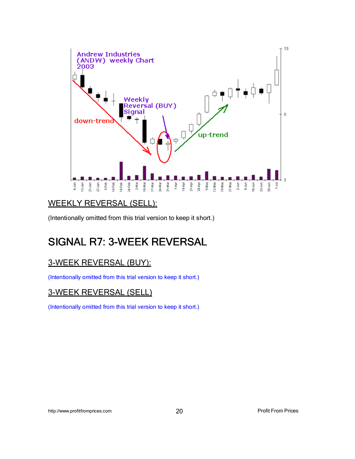

# WEEKLY REVERSAL (SELL):

(Intentionally omitted from this trial version to keep it short.)

# SIGNAL R7: 3-WEEK REVERSAL

# 3-WEEK REVERSAL (BUY):

(Intentionally omitted from this trial version to keep it short.)

# 3-WEEK REVERSAL (SELL)

(Intentionally omitted from this trial version to keep it short.)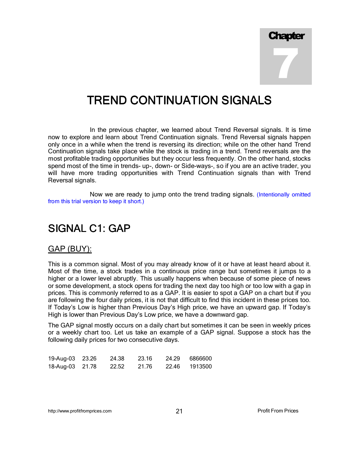# Chapter 7

# **TREND CONTINUATION SIGNALS**

In the previous chapter, we learned about Trend Reversal signals. It is time now to explore and learn about Trend Continuation signals. Trend Reversal signals happen only once in a while when the trend is reversing its direction; while on the other hand Trend Continuation signals take place while the stock is trading in a trend. Trend reversals are the most profitable trading opportunities but they occur less frequently. On the other hand, stocks spend most of the time in trends- up-, down- or Side-ways-, so if you are an active trader, you will have more trading opportunities with Trend Continuation signals than with Trend Reversal signals.

Now we are ready to jump onto the trend trading signals. (Intentionally omitted from this trial version to keep it short.)

# SIGNAL C1: GAP

#### GAP (BUY):

This is a common signal. Most of you may already know of it or have at least heard about it. Most of the time, a stock trades in a continuous price range but sometimes it jumps to a higher or a lower level abruptly. This usually happens when because of some piece of news or some development, a stock opens for trading the next day too high or too low with a gap in prices. This is commonly referred to as a GAP. It is easier to spot a GAP on a chart but if you are following the four daily prices, it is not that difficult to find this incident in these prices too. If Today's Low is higher than Previous Day's High price, we have an upward gap. If Today's High is lower than Previous Day's Low price, we have a downward gap.

The GAP signal mostly occurs on a daily chart but sometimes it can be seen in weekly prices or a weekly chart too. Let us take an example of a GAP signal. Suppose a stock has the following daily prices for two consecutive days.

| 19-Aug-03 23.26 | 24.38 | 23.16 | 24.29 | 6866600 |
|-----------------|-------|-------|-------|---------|
| 18-Aug-03 21.78 | 22.52 | 21.76 | 22.46 | 1913500 |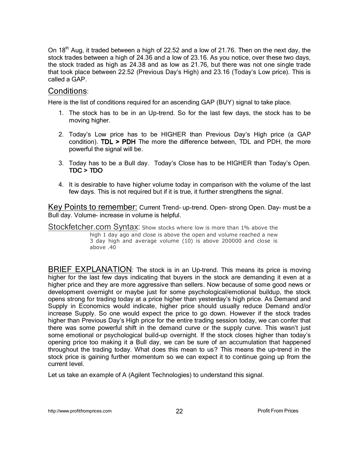On 18<sup>th</sup> Aug, it traded between a high of 22.52 and a low of 21.76. Then on the next day, the stock trades between a high of 24.36 and a low of 23.16. As you notice, over these two days, the stock traded as high as 24.38 and as low as 21.76, but there was not one single trade that took place between 22.52 (Previous Day's High) and 23.16 (Today's Low price). This is called a GAP.

#### Conditions:

Here is the list of conditions required for an ascending GAP (BUY) signal to take place.

- 1. The stock has to be in an Up-trend. So for the last few days, the stock has to be moving higher.
- 2. Today's Low price has to be HIGHER than Previous Day's High price (a GAP condition). TDL > PDH The more the difference between, TDL and PDH, the more powerful the signal will be.
- 3. Today has to be a Bull day. Today's Close has to be HIGHER than Today's Open.  $TDC > TDO$
- 4. It is desirable to have higher volume today in comparison with the volume of the last few days. This is not required but if it is true, it further strengthens the signal.

Key Points to remember: Current Trend- up-trend. Open- strong Open. Day- must be a Bull day. Volume- increase in volume is helpful.

Stockfetcher.com Syntax: Show stocks where low is more than 1% above the high 1 day ago and close is above the open and volume reached a new 3 day high and average volume (10) is above 200000 and close is above .40

BRIEF EXPLANATION: The stock is in an Up-trend. This means its price is moving higher for the last few days indicating that buyers in the stock are demanding it even at a higher price and they are more aggressive than sellers. Now because of some good news or development overnight or maybe just for some psychological/emotional buildup, the stock opens strong for trading today at a price higher than yesterday's high price. As Demand and Supply in Economics would indicate, higher price should usually reduce Demand and/or increase Supply. So one would expect the price to go down. However if the stock trades higher than Previous Day's High price for the entire trading session today, we can confer that there was some powerful shift in the demand curve or the supply curve. This wasn't just some emotional or psychological build-up overnight. If the stock closes higher than today's opening price too making it a Bull day, we can be sure of an accumulation that happened throughout the trading today. What does this mean to us? This means the up-trend in the stock price is gaining further momentum so we can expect it to continue going up from the current level.

Let us take an example of A (Agilent Technologies) to understand this signal.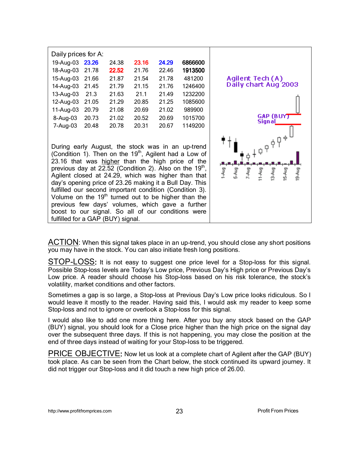

ACTION: When this signal takes place in an up-trend, you should close any short positions you may have in the stock. You can also initiate fresh long positions.

STOP-LOSS: It is not easy to suggest one price level for a Stop-loss for this signal. Possible Stop-loss levels are Today's Low price, Previous Day's High price or Previous Day's Low price. A reader should choose his Stop-loss based on his risk tolerance, the stock's volatility, market conditions and other factors.

Sometimes a gap is so large, a Stop-loss at Previous Day's Low price looks ridiculous. So I would leave it mostly to the reader. Having said this, I would ask my reader to keep some Stop-loss and not to ignore or overlook a Stop-loss for this signal.

I would also like to add one more thing here. After you buy any stock based on the GAP (BUY) signal, you should look for a Close price higher than the high price on the signal day over the subsequent three days. If this is not happening, you may close the position at the end of three days instead of waiting for your Stop-loss to be triggered.

PRICE OBJECTIVE: Now let us look at a complete chart of Agilent after the GAP (BUY) took place. As can be seen from the Chart below, the stock continued its upward journey. It did not trigger our Stop-loss and it did touch a new high price of 26.00.

http://www.profitfromprices.com 23 Profit From Prices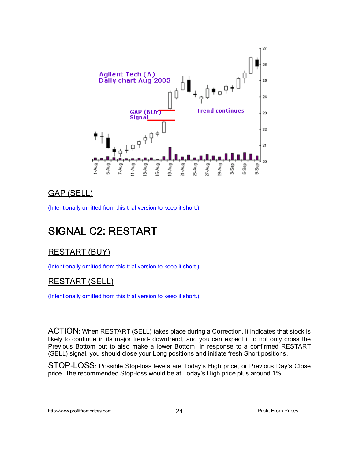

# GAP (SELL)

(Intentionally omitted from this trial version to keep it short.)

# **SIGNAL C2: RESTART**

# RESTART (BUY)

(Intentionally omitted from this trial version to keep it short.)

# RESTART (SELL)

(Intentionally omitted from this trial version to keep it short.)

ACTION: When RESTART (SELL) takes place during a Correction, it indicates that stock is likely to continue in its major trend- downtrend, and you can expect it to not only cross the Previous Bottom but to also make a lower Bottom. In response to a confirmed RESTART (SELL) signal, you should close your Long positions and initiate fresh Short positions.

STOP-LOSS: Possible Stop-loss levels are Today's High price, or Previous Day's Close price. The recommended Stop-loss would be at Today's High price plus around 1%.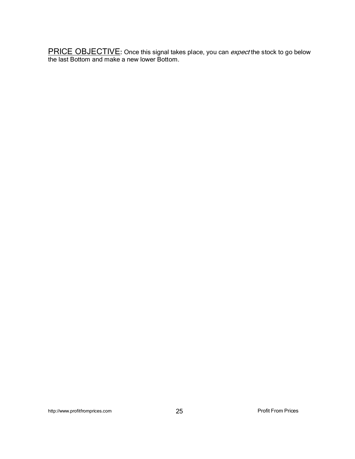PRICE OBJECTIVE: Once this signal takes place, you can expect the stock to go below the last Bottom and make a new lower Bottom.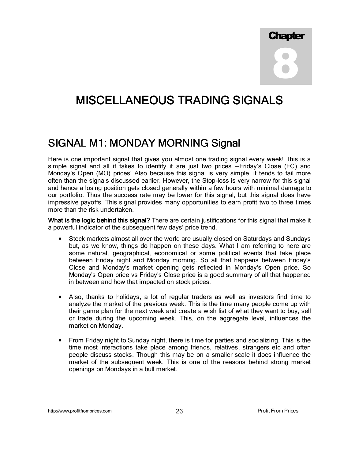Chapter

# 8

# MISCELLANEOUS TRADING SIGNALS

# SIGNAL M1: MONDAY MORNING Signal

Here is one important signal that gives you almost one trading signal every week! This is a simple signal and all it takes to identify it are just two prices --Friday's Close (FC) and Monday's Open (MO) prices! Also because this signal is very simple, it tends to fail more often than the signals discussed earlier. However, the Stop-loss is very narrow for this signal and hence a losing position gets closed generally within a few hours with minimal damage to our portfolio. Thus the success rate may be lower for this signal, but this signal does have impressive payoffs. This signal provides many opportunities to earn profit two to three times more than the risk undertaken.

What is the logic behind this signal? There are certain justifications for this signal that make it a powerful indicator of the subsequent few days' price trend.

- Stock markets almost all over the world are usually closed on Saturdays and Sundays but, as we know, things do happen on these days. What I am referring to here are some natural, geographical, economical or some political events that take place between Friday night and Monday morning. So all that happens between Friday's Close and Monday's market opening gets reflected in Monday's Open price. So Monday's Open price vs Friday's Close price is a good summary of all that happened in between and how that impacted on stock prices.
- Also, thanks to holidays, a lot of regular traders as well as investors find time to analyze the market of the previous week. This is the time many people come up with their game plan for the next week and create a wish list of what they want to buy, sell or trade during the upcoming week. This, on the aggregate level, influences the market on Monday.
- From Friday night to Sunday night, there is time for parties and socializing. This is the time most interactions take place among friends, relatives, strangers etc and often people discuss stocks. Though this may be on a smaller scale it does influence the market of the subsequent week. This is one of the reasons behind strong market openings on Mondays in a bull market.

http://www.profitfromprices.com 26 Profit From Prices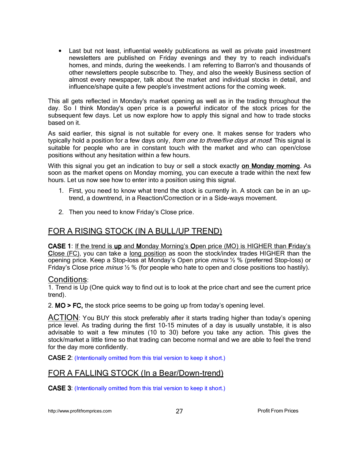• Last but not least, influential weekly publications as well as private paid investment newsletters are published on Friday evenings and they try to reach individual's homes, and minds, during the weekends. I am referring to Barron's and thousands of other newsletters people subscribe to. They, and also the weekly Business section of almost every newspaper, talk about the market and individual stocks in detail, and influence/shape quite a few people's investment actions for the coming week.

This all gets reflected in Monday's market opening as well as in the trading throughout the day. So I think Monday's open price is a powerful indicator of the stock prices for the subsequent few days. Let us now explore how to apply this signal and how to trade stocks based on it.

As said earlier, this signal is not suitable for every one. It makes sense for traders who typically hold a position for a few days only, from one to three/five days at most! This signal is suitable for people who are in constant touch with the market and who can open/close positions without any hesitation within a few hours.

With this signal you get an indication to buy or sell a stock exactly on Monday morning. As soon as the market opens on Monday morning, you can execute a trade within the next few hours. Let us now see how to enter into a position using this signal.

- 1. First, you need to know what trend the stock is currently in. A stock can be in an uptrend, a downtrend, in a Reaction/Correction or in a Side-ways movement.
- 2. Then you need to know Friday's Close price.

#### FOR A RISING STOCK (IN A BULL/UP TREND)

CASE 1: If the trend is up and Monday Morning's Open price (MO) is HIGHER than Friday's Close (FC), you can take a long position as soon the stock/index trades HIGHER than the opening price. Keep a Stop-loss at Monday's Open price *minus* 1/2 % (preferred Stop-loss) or Friday's Close price *minus*  $\frac{1}{2}$  % (for people who hate to open and close positions too hastily).

#### Conditions:

1. Trend is Up (One quick way to find out is to look at the price chart and see the current price trend).

2. MO > FC, the stock price seems to be going up from today's opening level.

ACTION: You BUY this stock preferably after it starts trading higher than today's opening price level. As trading during the first 10-15 minutes of a day is usually unstable, it is also advisable to wait a few minutes (10 to 30) before you take any action. This gives the stock/market a little time so that trading can become normal and we are able to feel the trend for the day more confidently.

**CASE 2:** (Intentionally omitted from this trial version to keep it short.)

#### FOR A FALLING STOCK (In a Bear/Down-trend)

**CASE 3:** (Intentionally omitted from this trial version to keep it short.)

http://www.profitfromprices.com 27 Profit From Prices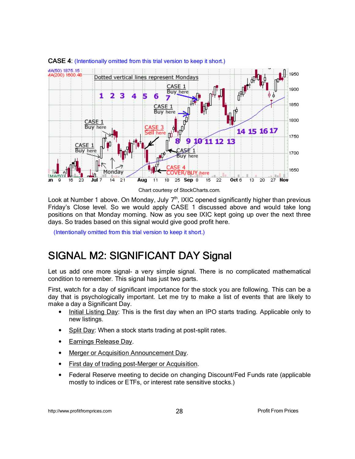

#### CASE 4: (Intentionally omitted from this trial version to keep it short.)

Chart courtesy of StockCharts.com.

Look at Number 1 above. On Monday, July  $7<sup>th</sup>$ , IXIC opened significantly higher than previous Friday's Close level. So we would apply CASE 1 discussed above and would take long positions on that Monday morning. Now as you see IXIC kept going up over the next three days. So trades based on this signal would give good profit here.

(Intentionally omitted from this trial version to keep it short.)

# SIGNAL M2: SIGNIFICANT DAY Signal

Let us add one more signal- a very simple signal. There is no complicated mathematical condition to remember. This signal has just two parts.

First, watch for a day of significant importance for the stock you are following. This can be a day that is psychologically important. Let me try to make a list of events that are likely to make a day a Significant Day.

- Initial Listing Day: This is the first day when an IPO starts trading. Applicable only to new listings.
- Split Day: When a stock starts trading at post-split rates.
- Earnings Release Day.
- Merger or Acquisition Announcement Day.
- First day of trading post-Merger or Acquisition.
- Federal Reserve meeting to decide on changing Discount/Fed Funds rate (applicable mostly to indices or ETFs, or interest rate sensitive stocks.)

http://www.profitfromprices.com 28 Profit From Prices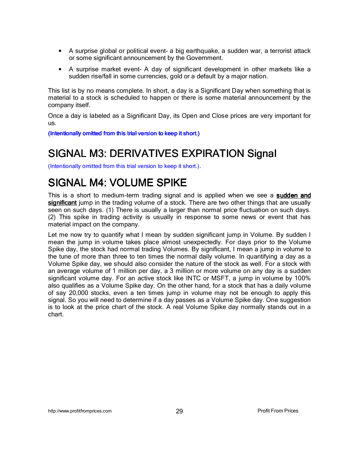- A surprise global or political event- a big earthquake, a sudden war, a terrorist attack or some significant announcement by the Government.
- A surprise market event- A day of significant development in other markets like a sudden rise/fall in some currencies, gold or a default by a major nation.

This list is by no means complete. In short, a day is a Significant Day when something that is material to a stock is scheduled to happen or there is some material announcement by the company itself.

Once a day is labeled as a Significant Day, its Open and Close prices are very important for us.

(Intentionally omitted from this trial version to keep it short.)

# SIGNAL M3: DERIVATIVES EXPIRATION Signal

(Intentionally omitted from this trial version to keep it short.).

# SIGNAL M4: VOLUME SPIKE

This is a short to medium-term trading signal and is applied when we see a **sudden and** significant jump in the trading volume of a stock. There are two other things that are usually seen on such days. (1) There is usually a larger than normal price fluctuation on such days. (2) This spike in trading activity is usually in response to some news or event that has material impact on the company.

Let me now try to quantify what I mean by sudden significant jump in Volume. By sudden I mean the jump in volume takes place almost unexpectedly. For days prior to the Volume Spike day, the stock had normal trading Volumes. By significant, I mean a jump in volume to the tune of more than three to ten times the normal daily volume. In quantifying a day as a Volume Spike day, we should also consider the nature of the stock as well. For a stock with an average volume of 1 million per day, a 3 million or more volume on any day is a sudden significant volume day. For an active stock like INTC or MSFT, a jump in volume by 100% also qualifies as a Volume Spike day. On the other hand, for a stock that has a daily volume of say 20,000 stocks, even a ten times jump in volume may not be enough to apply this signal. So you will need to determine if a day passes as a Volume Spike day. One suggestion is to look at the price chart of the stock. A real Volume Spike day normally stands out in a chart.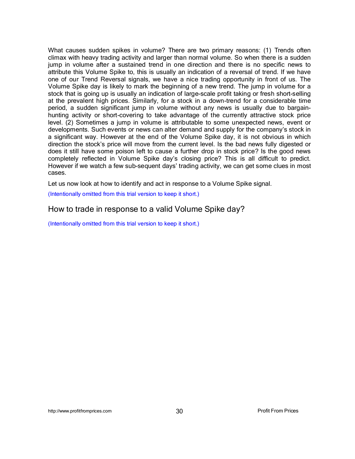What causes sudden spikes in volume? There are two primary reasons: (1) Trends often climax with heavy trading activity and larger than normal volume. So when there is a sudden jump in volume after a sustained trend in one direction and there is no specific news to attribute this Volume Spike to, this is usually an indication of a reversal of trend. If we have one of our Trend Reversal signals, we have a nice trading opportunity in front of us. The Volume Spike day is likely to mark the beginning of a new trend. The jump in volume for a stock that is going up is usually an indication of large-scale profit taking or fresh short-selling at the prevalent high prices. Similarly, for a stock in a down-trend for a considerable time period, a sudden significant jump in volume without any news is usually due to bargainhunting activity or short-covering to take advantage of the currently attractive stock price level. (2) Sometimes a jump in volume is attributable to some unexpected news, event or developments. Such events or news can alter demand and supply for the company's stock in a significant way. However at the end of the Volume Spike day, it is not obvious in which direction the stock's price will move from the current level. Is the bad news fully digested or does it still have some poison left to cause a further drop in stock price? Is the good news completely reflected in Volume Spike day's closing price? This is all difficult to predict. However if we watch a few sub-sequent days' trading activity, we can get some clues in most cases.

Let us now look at how to identify and act in response to a Volume Spike signal.

(Intentionally omitted from this trial version to keep it short.)

#### How to trade in response to a valid Volume Spike day?

(Intentionally omitted from this trial version to keep it short.)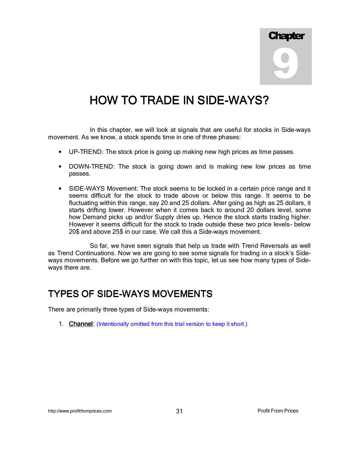# **Chapter** 9

# HOW TO TRADE IN SIDE-WAYS?

In this chapter, we will look at signals that are useful for stocks in Side-ways movement. As we know, a stock spends time in one of three phases:

- UP-TREND: The stock price is going up making new high prices as time passes.
- DOWN-TREND: The stock is going down and is making new low prices as time passes.
- SIDE-WAYS Movement: The stock seems to be locked in a certain price range and it seems difficult for the stock to trade above or below this range. It seems to be fluctuating within this range, say 20 and 25 dollars. After going as high as 25 dollars, it starts drifting lower. However when it comes back to around 20 dollars level, some how Demand picks up and/or Supply dries up. Hence the stock starts trading higher. However it seems difficult for the stock to trade outside these two price levels- below 20\$ and above 25\$ in our case. We call this a Side-ways movement.

So far, we have seen signals that help us trade with Trend Reversals as well as Trend Continuations. Now we are going to see some signals for trading in a stock's Sideways movements. Before we go further on with this topic, let us see how many types of Sideways there are.

#### TYPES OF SIDE-WAYS MOVEMENTS

There are primarily three types of Side-ways movements:

1. Channel: (Intentionally omitted from this trial version to keep it short.)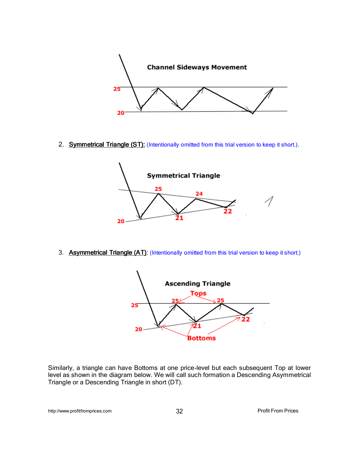

2. Symmetrical Triangle (ST): (Intentionally omitted from this trial version to keep it short.).



3. **Asymmetrical Triangle (AT):** (Intentionally omitted from this trial version to keep it short.)



Similarly, a triangle can have Bottoms at one price-level but each subsequent Top at lower level as shown in the diagram below. We will call such formation a Descending Asymmetrical Triangle or a Descending Triangle in short (DT).

http://www.profitfromprices.com 32 Profit From Prices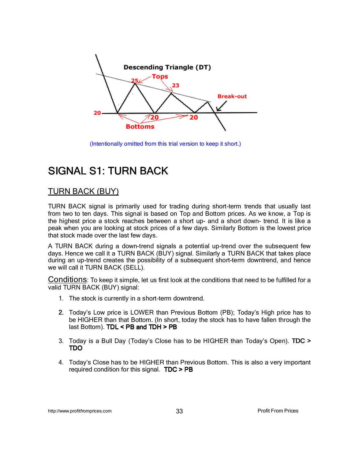

(Intentionally omitted from this trial version to keep it short.)

# SIGNAL S1: TURN BACK

#### TURN BACK (BUY)

TURN BACK signal is primarily used for trading during short-term trends that usually last from two to ten days. This signal is based on Top and Bottom prices. As we know, a Top is the highest price a stock reaches between a short up- and a short down- trend. It is like a peak when you are looking at stock prices of a few days. Similarly Bottom is the lowest price that stock made over the last few days.

A TURN BACK during a down-trend signals a potential up-trend over the subsequent few days. Hence we call it a TURN BACK (BUY) signal. Similarly a TURN BACK that takes place during an up-trend creates the possibility of a subsequent short-term downtrend, and hence we will call it TURN BACK (SELL).

Conditions: To keep it simple, let us first look at the conditions that need to be fulfilled for a valid TURN BACK (BUY) signal:

- 1. The stock is currently in a short-term downtrend.
- 2. Today's Low price is LOWER than Previous Bottom (PB); Today's High price has to be HIGHER than that Bottom. (In short, today the stock has to have fallen through the last Bottom).  $TDL < PB$  and  $TDH > PB$
- 3. Today is a Bull Day (Today's Close has to be HIGHER than Today's Open). TDC > TDO
- 4. Today's Close has to be HIGHER than Previous Bottom. This is also a very important required condition for this signal.  $TDC > PB$

http://www.profitfromprices.com 33 Profit From Prices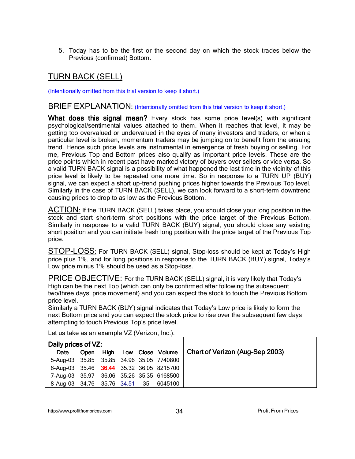5. Today has to be the first or the second day on which the stock trades below the Previous (confirmed) Bottom.

#### TURN BACK (SELL)

(Intentionally omitted from this trial version to keep it short.)

#### BRIEF EXPLANATION: (Intentionally omitted from this trial version to keep it short.)

What does this signal mean? Every stock has some price level(s) with significant psychological/sentimental values attached to them. When it reaches that level, it may be getting too overvalued or undervalued in the eyes of many investors and traders, or when a particular level is broken, momentum traders may be jumping on to benefit from the ensuing trend. Hence such price levels are instrumental in emergence of fresh buying or selling. For me, Previous Top and Bottom prices also qualify as important price levels. These are the price points which in recent past have marked victory of buyers over sellers or vice versa. So a valid TURN BACK signal is a possibility of what happened the last time in the vicinity of this price level is likely to be repeated one more time. So in response to a TURN UP (BUY) signal, we can expect a short up-trend pushing prices higher towards the Previous Top level. Similarly in the case of TURN BACK (SELL), we can look forward to a short-term downtrend causing prices to drop to as low as the Previous Bottom.

ACTION: If the TURN BACK (SELL) takes place, you should close your long position in the stock and start short-term short positions with the price target of the Previous Bottom. Similarly in response to a valid TURN BACK (BUY) signal, you should close any existing short position and you can initiate fresh long position with the price target of the Previous Top price.

STOP-LOSS: For TURN BACK (SELL) signal, Stop-loss should be kept at Today's High price plus 1%, and for long positions in response to the TURN BACK (BUY) signal, Today's Low price minus 1% should be used as a Stop-loss.

PRICE OBJECTIVE: For the TURN BACK (SELL) signal, it is very likely that Today's High can be the next Top (which can only be confirmed after following the subsequent two/three days' price movement) and you can expect the stock to touch the Previous Bottom price level.

Similarly a TURN BACK (BUY) signal indicates that Today's Low price is likely to form the next Bottom price and you can expect the stock price to rise over the subsequent few days attempting to touch Previous Top's price level.

| Daily prices of VZ:<br>Date              | Open High Low Close Volume |  |  | Chart of Verizon (Aug-Sep 2003) |  |
|------------------------------------------|----------------------------|--|--|---------------------------------|--|
| 5-Aug-03 35.85 35.85 34.96 35.05 7740800 |                            |  |  |                                 |  |
| 6-Aug-03 35.46 36.44 35.32 36.05 8215700 |                            |  |  |                                 |  |
| 7-Aug-03 35.97 36.06 35.26 35.35 6168500 |                            |  |  |                                 |  |
| 8-Aug-03 34.76 35.76 34.51 35 6045100    |                            |  |  |                                 |  |

Let us take as an example VZ (Verizon, Inc.).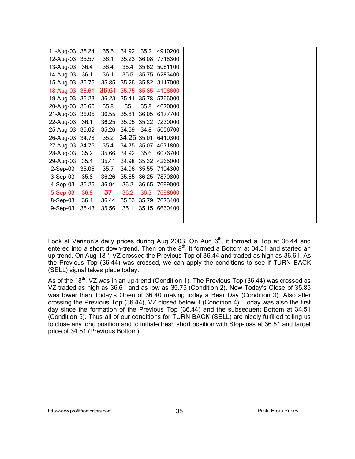| 11-Aug-03<br>12-Aug-03 35.57<br>13-Aug-03<br>14-Aug-03 | 35.24<br>36.4 | 35.5<br>36.1                                                                                                                                         | 34.92<br>35.23 | 35.2<br>36.08 | 4910200                                                                           |
|--------------------------------------------------------|---------------|------------------------------------------------------------------------------------------------------------------------------------------------------|----------------|---------------|-----------------------------------------------------------------------------------|
|                                                        |               |                                                                                                                                                      |                |               |                                                                                   |
|                                                        |               |                                                                                                                                                      |                |               | 7718300                                                                           |
|                                                        |               | 36.4                                                                                                                                                 | 35.4           |               | 35.62 5061100                                                                     |
|                                                        | 36.1          | 36.1                                                                                                                                                 | 35.5           |               | 35.75 6283400                                                                     |
|                                                        |               | 35.85                                                                                                                                                |                |               |                                                                                   |
|                                                        |               | 36.61                                                                                                                                                | 35.75          |               | 35.85 4196600                                                                     |
|                                                        |               | 36.23                                                                                                                                                | 35.41          |               | 35.78 5766000                                                                     |
|                                                        |               | 35.8                                                                                                                                                 | 35             | 35.8          | 4670000                                                                           |
|                                                        |               | 36.55                                                                                                                                                | 35.81          | 36.05         | 6177700                                                                           |
| 22-Aug-03                                              | 36.1          | 36.25                                                                                                                                                | 35.05          |               | 35.22 7230000                                                                     |
|                                                        |               | 35.26                                                                                                                                                | 34.59          | 34.8          | 5056700                                                                           |
|                                                        |               | 35.2                                                                                                                                                 |                |               | 6410300                                                                           |
|                                                        |               | 35.4                                                                                                                                                 |                |               | 4671800                                                                           |
| 28-Aug-03                                              | 35.2          | 35.66                                                                                                                                                | 34.92          | 35.6          | 6076700                                                                           |
| 29-Aug-03                                              | 35.4          | 35.41                                                                                                                                                | 34.98          |               | 35.32 4265000                                                                     |
| $2-Sep-03$                                             | 35.06         | 35.7                                                                                                                                                 |                |               |                                                                                   |
| $3-$ Sep $-03$                                         | 35.8          | 36.26                                                                                                                                                | 35.65          | 36.25         | 7870800                                                                           |
| 4-Sep-03                                               | 36.25         | 36.94                                                                                                                                                | 36.2           | 36.65         | 7699000                                                                           |
| $5-$ Sep $-03$                                         | 36.8          | 37                                                                                                                                                   | 36.2           | 36.3          | 7698600                                                                           |
| 8-Sep-03                                               | 36.4          | 36.44                                                                                                                                                | 35.63          | 35.79         | 7673400                                                                           |
| 9-Sep-03                                               | 35.43         | 35.56                                                                                                                                                | 35.1           |               | 6660400                                                                           |
|                                                        |               |                                                                                                                                                      |                |               |                                                                                   |
|                                                        |               | 15-Aug-03 35.75<br>18-Aug-03 36.61<br>19-Aug-03 36.23<br>20-Aug-03 35.65<br>21-Aug-03 36.05<br>25-Aug-03 35.02<br>26-Aug-03 34.78<br>27-Aug-03 34.75 |                |               | 35.26 35.82 3117000<br>34.26 35.01<br>34.75 35.07<br>34.96 35.55 7194300<br>35.15 |

Look at Verizon's daily prices during Aug 2003. On Aug 6<sup>th</sup>, it formed a Top at 36.44 and entered into a short down-trend. Then on the 8<sup>th</sup>, it formed a Bottom at 34.51 and started an up-trend. On Aug 18<sup>th</sup>, VZ crossed the Previous Top of 36.44 and traded as high as 36.61. As the Previous Top (36.44) was crossed, we can apply the conditions to see if TURN BACK (SELL) signal takes place today.

As of the  $18<sup>th</sup>$ , VZ was in an up-trend (Condition 1). The Previous Top (36.44) was crossed as VZ traded as high as 36.61 and as low as 35.75 (Condition 2). Now Today's Close of 35.85 was lower than Today's Open of 36.40 making today a Bear Day (Condition 3). Also after crossing the Previous Top (36.44), VZ closed below it (Condition 4). Today was also the first day since the formation of the Previous Top (36.44) and the subsequent Bottom at 34.51 (Condition 5). Thus all of our conditions for TURN BACK (SELL) are nicely fulfilled telling us to close any long position and to initiate fresh short position with Stop-loss at 36.51 and target price of 34.51 (Previous Bottom).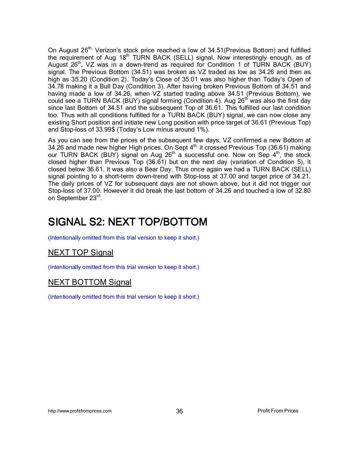On August  $26<sup>th</sup>$ , Verizon's stock price reached a low of 34.51 (Previous Bottom) and fulfilled the requirement of Aug 18<sup>th</sup> TURN BACK (SELL) signal. Now interestingly enough, as of August  $26<sup>th</sup>$ , VZ was in a down-trend as required for Condition 1 of TURN BACK (BUY) signal. The Previous Bottom (34.51) was broken as VZ traded as low as 34.26 and then as high as 35.20 (Condition 2). Today's Close of 35.01 was also higher than Today's Open of 34.78 making it a Bull Day (Condition 3). After having broken Previous Bottom of 34.51 and having made a low of 34.26, when VZ started trading above 34.51 (Previous Bottom), we could see a TURN BACK (BUY) signal forming (Condition 4). Aug  $26<sup>th</sup>$  was also the first day since last Bottom of 34.51 and the subsequent Top of 36.61. This fulfilled our last condition too. Thus with all conditions fulfilled for a TURN BACK (BUY) signal, we can now close any existing Short position and initiate new Long position with price target of 36.61 (Previous Top) and Stop-loss of 33.99\$ (Today's Low minus around 1%).

As you can see from the prices of the subsequent few days, VZ confirmed a new Bottom at 34.26 and made new higher High prices. On Sept  $4<sup>th</sup>$ , it crossed Previous Top (36.61) making our TURN BACK (BUY) signal on Aug  $26<sup>th</sup>$  a successful one. Now on Sep  $4<sup>th</sup>$ , the stock closed higher than Previous Top (36.61) but on the next day (variation of Condition 5), it closed below 36.61. It was also a Bear Day. Thus once again we had a TURN BACK (SELL) signal pointing to a short-term down-trend with Stop-loss at 37.00 and target price of 34.21. The daily prices of VZ for subsequent days are not shown above, but it did not trigger our Stop-loss of 37.00. However it did break the last bottom of 34.26 and touched a low of 32.80 on September 23rd .

#### SIGNAL S2: NEXT TOP/BOTTOM

(Intentionally omitted from this trial version to keep it short.)

#### NEXT TOP Signal

(Intentionally omitted from this trial version to keep it short.)

#### NEXT BOTTOM Signal

(Intentionally omitted from this trial version to keep it short.)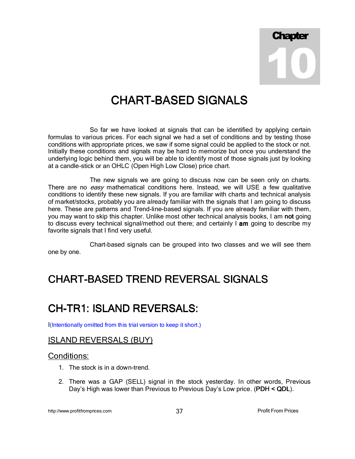**Chapter** 10

# CHART-BASED SIGNALS

So far we have looked at signals that can be identified by applying certain formulas to various prices. For each signal we had a set of conditions and by testing those conditions with appropriate prices, we saw if some signal could be applied to the stock or not. Initially these conditions and signals may be hard to memorize but once you understand the underlying logic behind them, you will be able to identify most of those signals just by looking at a candle-stick or an OHLC (Open High Low Close) price chart.

The new signals we are going to discuss now can be seen only on charts. There are no easy mathematical conditions here. Instead, we will USE a few qualitative conditions to identify these new signals. If you are familiar with charts and technical analysis of market/stocks, probably you are already familiar with the signals that I am going to discuss here. These are patterns and Trend-line-based signals. If you are already familiar with them, you may want to skip this chapter. Unlike most other technical analysis books, I am not going to discuss every technical signal/method out there; and certainly I am going to describe my favorite signals that I find very useful.

Chart-based signals can be grouped into two classes and we will see them one by one.

# CHART-BASED TREND REVERSAL SIGNALS

# CH-TR1: ISLAND REVERSALS:

I(Intentionally omitted from this trial version to keep it short.)

#### <u>ISLAND REVERSALS (BUY)</u>

#### Conditions:

- 1. The stock is in a down-trend.
- 2. There was a GAP (SELL) signal in the stock yesterday. In other words, Previous Day's High was lower than Previous to Previous Day's Low price. (PDH < QDL).

http://www.profitfromprices.com 37 Profit From Prices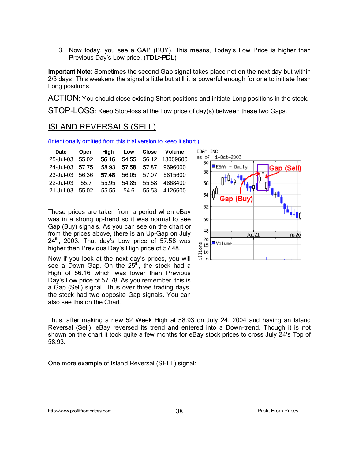3. Now today, you see a GAP (BUY). This means, Today's Low Price is higher than Previous Day's Low price. (TDL>PDL)

Important Note: Sometimes the second Gap signal takes place not on the next day but within 2/3 days. This weakens the signal a little but still it is powerful enough for one to initiate fresh Long positions.

ACTION: You should close existing Short positions and initiate Long positions in the stock.

STOP-LOSS: Keep Stop-loss at the Low price of day(s) between these two Gaps.

#### ISLAND REVERSALS (SELL)

(Intentionally omitted from this trial version to keep it short.)

| Date                                      | Open |  | High Low Close Volume                      |
|-------------------------------------------|------|--|--------------------------------------------|
|                                           |      |  | 25-Jul-03 55.02 56.16 54.55 56.12 13069600 |
| 24-Jul-03 57.75                           |      |  | 58.93 57.58 57.87 9696000                  |
| 23-Jul-03 56.36 57.48 56.05 57.07 5815600 |      |  |                                            |
| 22-Jul-03 55.7                            |      |  | 55.95 54.85 55.58 4868400                  |
| 21-Jul-03 55.02 55.55 54.6 55.53 4126600  |      |  |                                            |

These prices are taken from a period when eBay was in a strong up-trend so it was normal to see Gap (Buy) signals. As you can see on the chart or from the prices above, there is an Up-Gap on July  $24<sup>th</sup>$ , 2003. That day's Low price of 57.58 was higher than Previous Day's High price of 57.48.

Now if you look at the next day's prices, you will see a Down Gap. On the 25<sup>th</sup>, the stock had a High of 56.16 which was lower than Previous Day's Low price of 57.78. As you remember, this is a Gap (Sell) signal. Thus over three trading days, the stock had two opposite Gap signals. You can also see this on the Chart.



Thus, after making a new 52 Week High at 58.93 on July 24, 2004 and having an Island Reversal (Sell), eBay reversed its trend and entered into a Down-trend. Though it is not shown on the chart it took quite a few months for eBay stock prices to cross July 24's Top of 58.93.

One more example of Island Reversal (SELL) signal:

http://www.profitfromprices.com 38 38 Profit From Prices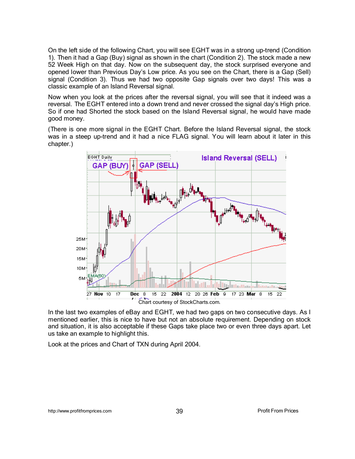On the left side of the following Chart, you will see EGHT was in a strong up-trend (Condition 1). Then it had a Gap (Buy) signal as shown in the chart (Condition 2). The stock made a new 52 Week High on that day. Now on the subsequent day, the stock surprised everyone and opened lower than Previous Day's Low price. As you see on the Chart, there is a Gap (Sell) signal (Condition 3). Thus we had two opposite Gap signals over two days! This was a classic example of an Island Reversal signal.

Now when you look at the prices after the reversal signal, you will see that it indeed was a reversal. The EGHT entered into a down trend and never crossed the signal day's High price. So if one had Shorted the stock based on the Island Reversal signal, he would have made good money.

(There is one more signal in the EGHT Chart. Before the Island Reversal signal, the stock was in a steep up-trend and it had a nice FLAG signal. You will learn about it later in this chapter.)



In the last two examples of eBay and EGHT, we had two gaps on two consecutive days. As I mentioned earlier, this is nice to have but not an absolute requirement. Depending on stock and situation, it is also acceptable if these Gaps take place two or even three days apart. Let us take an example to highlight this.

Look at the prices and Chart of TXN during April 2004.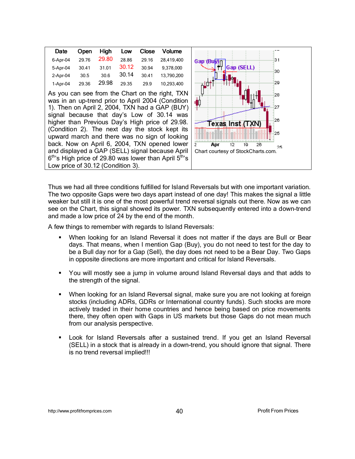| Date       | Open  | High  | Low   | Close | <b>Volume</b> |  |
|------------|-------|-------|-------|-------|---------------|--|
| 6-Apr-04   | 29.76 | 29.80 | 28.86 | 29.16 | 28.419.400    |  |
| 5-Apr-04   | 30.41 | 31.01 | 30.12 | 30.94 | 9.378.000     |  |
| $2-Apr-04$ | 30.5  | 30.6  | 30.14 | 30.41 | 13,790,200    |  |
| $1-Apr-04$ | 29.36 | 29.98 | 29 35 | 29.9  | 10,293,400    |  |

As you can see from the Chart on the right, TXN was in an up-trend prior to April 2004 (Condition 1). Then on April 2, 2004, TXN had a GAP (BUY) signal because that day's Low of 30.14 was higher than Previous Day's High price of 29.98. (Condition 2). The next day the stock kept its upward march and there was no sign of looking back. Now on April 6, 2004, TXN opened lower and displayed a GAP (SELL) signal because April  $6<sup>th</sup>$ 's High price of 29.80 was lower than April  $5<sup>th</sup>$ 's Low price of 30.12 (Condition 3).



Thus we had all three conditions fulfilled for Island Reversals but with one important variation. The two opposite Gaps were two days apart instead of one day! This makes the signal a little weaker but still it is one of the most powerful trend reversal signals out there. Now as we can see on the Chart, this signal showed its power. TXN subsequently entered into a down-trend and made a low price of 24 by the end of the month.

A few things to remember with regards to Island Reversals:

- When looking for an Island Reversal it does not matter if the days are Bull or Bear days. That means, when I mention Gap (Buy), you do not need to test for the day to be a Bull day nor for a Gap (Sell), the day does not need to be a Bear Day. Two Gaps in opposite directions are more important and critical for Island Reversals.
- You will mostly see a jump in volume around Island Reversal days and that adds to the strength of the signal.
- When looking for an Island Reversal signal, make sure you are not looking at foreign stocks (including ADRs, GDRs or International country funds). Such stocks are more actively traded in their home countries and hence being based on price movements there, they often open with Gaps in US markets but those Gaps do not mean much from our analysis perspective.
- Look for Island Reversals after a sustained trend. If you get an Island Reversal (SELL) in a stock that is already in a down-trend, you should ignore that signal. There is no trend reversal implied!!!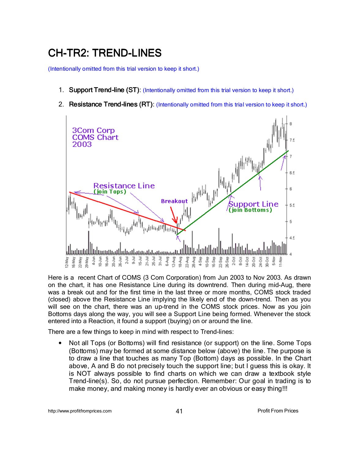# CH-TR2: TREND-LINES

(Intentionally omitted from this trial version to keep it short.)

- 1. Support Trend-line (ST): (Intentionally omitted from this trial version to keep it short.)
- 2. Resistance Trend-lines (RT): (Intentionally omitted from this trial version to keep it short.)



Here is a recent Chart of COMS (3 Com Corporation) from Jun 2003 to Nov 2003. As drawn on the chart, it has one Resistance Line during its downtrend. Then during mid-Aug, there was a break out and for the first time in the last three or more months, COMS stock traded (closed) above the Resistance Line implying the likely end of the down-trend. Then as you will see on the chart, there was an up-trend in the COMS stock prices. Now as you join Bottoms days along the way, you will see a Support Line being formed. Whenever the stock entered into a Reaction, it found a support (buying) on or around the line.

There are a few things to keep in mind with respect to Trend-lines:

• Not all Tops (or Bottoms) will find resistance (or support) on the line. Some Tops (Bottoms) may be formed at some distance below (above) the line. The purpose is to draw a line that touches as many Top (Bottom) days as possible. In the Chart above, A and B do not precisely touch the support line; but I guess this is okay. It is NOT always possible to find charts on which we can draw a textbook style Trend-line(s). So, do not pursue perfection. Remember: Our goal in trading is to make money, and making money is hardly ever an obvious or easy thing!!!

http://www.profitfromprices.com **41** And the set of the profit From Prices and the profit From Prices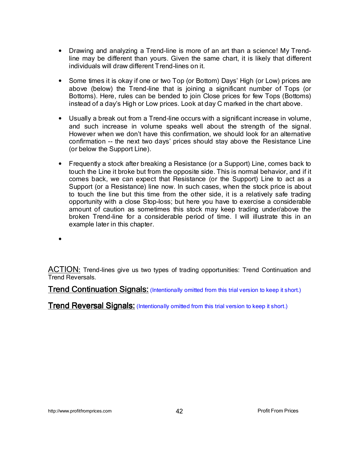- Drawing and analyzing a Trend-line is more of an art than a science! My Trendline may be different than yours. Given the same chart, it is likely that different individuals will draw different Trend-lines on it.
- Some times it is okay if one or two Top (or Bottom) Days' High (or Low) prices are above (below) the Trend-line that is joining a significant number of Tops (or Bottoms). Here, rules can be bended to join Close prices for few Tops (Bottoms) instead of a day's High or Low prices. Look at day C marked in the chart above.
- Usually a break out from a Trend-line occurs with a significant increase in volume, and such increase in volume speaks well about the strength of the signal. However when we don't have this confirmation, we should look for an alternative confirmation -- the next two days' prices should stay above the Resistance Line (or below the Support Line).
- Frequently a stock after breaking a Resistance (or a Support) Line, comes back to touch the Line it broke but from the opposite side. This is normal behavior, and if it comes back, we can expect that Resistance (or the Support) Line to act as a Support (or a Resistance) line now. In such cases, when the stock price is about to touch the line but this time from the other side, it is a relatively safe trading opportunity with a close Stop-loss; but here you have to exercise a considerable amount of caution as sometimes this stock may keep trading under/above the broken Trend-line for a considerable period of time. I will illustrate this in an example later in this chapter.
- •

ACTION: Trend-lines give us two types of trading opportunities: Trend Continuation and Trend Reversals.

Trend Continuation Signals: (Intentionally omitted from this trial version to keep it short.)

Trend Reversal Signals: (Intentionally omitted from this trial version to keep it short.)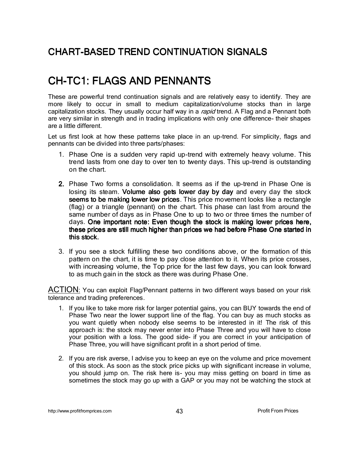### CHART-BASED TREND CONTINUATION SIGNALS

## CH-TC1: FLAGS AND PENNANTS

These are powerful trend continuation signals and are relatively easy to identify. They are more likely to occur in small to medium capitalization/volume stocks than in large capitalization stocks. They usually occur half way in a *rapid* trend. A Flag and a Pennant both are very similar in strength and in trading implications with only one difference- their shapes are a little different.

Let us first look at how these patterns take place in an up-trend. For simplicity, flags and pennants can be divided into three parts/phases:

- 1. Phase One is a sudden very rapid up-trend with extremely heavy volume. This trend lasts from one day to over ten to twenty days. This up-trend is outstanding on the chart.
- 2. Phase Two forms a consolidation. It seems as if the up-trend in Phase One is losing its steam. Volume also gets lower day by day and every day the stock seems to be making lower low prices. This price movement looks like a rectangle (flag) or a triangle (pennant) on the chart. This phase can last from around the same number of days as in Phase One to up to two or three times the number of days. One important note: Even though the stock is making lower prices here, these prices are still much higher than prices we had before Phase One started in this stock.
- 3. If you see a stock fulfilling these two conditions above, or the formation of this pattern on the chart, it is time to pay close attention to it. When its price crosses, with increasing volume, the Top price for the last few days, you can look forward to as much gain in the stock as there was during Phase One.

ACTION: You can exploit Flag/Pennant patterns in two different ways based on your risk tolerance and trading preferences.

- 1. If you like to take more risk for larger potential gains, you can BUY towards the end of Phase Two near the lower support line of the flag. You can buy as much stocks as you want quietly when nobody else seems to be interested in it! The risk of this approach is: the stock may never enter into Phase Three and you will have to close your position with a loss. The good side- if you are correct in your anticipation of Phase Three, you will have significant profit in a short period of time.
- 2. If you are risk averse, I advise you to keep an eye on the volume and price movement of this stock. As soon as the stock price picks up with significant increase in volume, you should jump on. The risk here is- you may miss getting on board in time as sometimes the stock may go up with a GAP or you may not be watching the stock at

http://www.profitfromprices.com **43** A3 Profit From Prices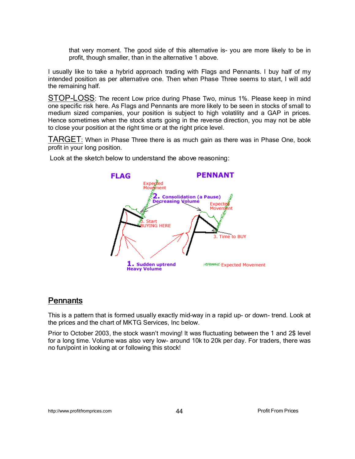that very moment. The good side of this alternative is- you are more likely to be in profit, though smaller, than in the alternative 1 above.

I usually like to take a hybrid approach trading with Flags and Pennants. I buy half of my intended position as per alternative one. Then when Phase Three seems to start, I will add the remaining half.

STOP-LOSS: The recent Low price during Phase Two, minus 1%. Please keep in mind one specific risk here. As Flags and Pennants are more likely to be seen in stocks of small to medium sized companies, your position is subject to high volatility and a GAP in prices. Hence sometimes when the stock starts going in the reverse direction, you may not be able to close your position at the right time or at the right price level.

TARGET: When in Phase Three there is as much gain as there was in Phase One, book profit in your long position.

> **PENNANT FLAG** Consolidation (a Pause) creasing Volume Expect Mover Start<br>JYING HERE 3. Time to BUY 1. Sudden uptrend<br>Heavy Volume 沙沙%% Expected Movement

Look at the sketch below to understand the above reasoning:

#### **Pennants**

This is a pattern that is formed usually exactly mid-way in a rapid up- or down- trend. Look at the prices and the chart of MKTG Services, Inc below.

Prior to October 2003, the stock wasn't moving! It was fluctuating between the 1 and 2\$ level for a long time. Volume was also very low- around 10k to 20k per day. For traders, there was no fun/point in looking at or following this stock!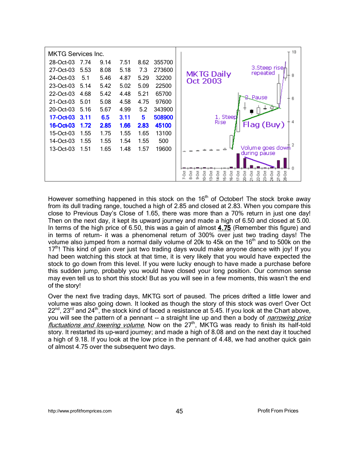| <b>MKTG Services Inc.</b> |      |      |      |      |        | 10                                                                                |
|---------------------------|------|------|------|------|--------|-----------------------------------------------------------------------------------|
| 28-Oct-03                 | 7.74 | 9.14 | 7.51 | 8.62 | 355700 |                                                                                   |
| 27-Oct-03                 | 5.53 | 8.08 | 5.18 | 7.3  | 273600 | 3.Steep rise<br>repeated                                                          |
| 24-Oct-03                 | 5.1  | 5.46 | 4.87 | 5.29 | 32200  | <b>MKTG Daily</b><br>Oct 2003                                                     |
| 23-Oct-03                 | 5.14 | 5.42 | 5.02 | 5.09 | 22500  |                                                                                   |
| 22-Oct-03                 | 4.68 | 5.42 | 4.48 | 5.21 | 65700  | 2. Pause                                                                          |
| 21-Oct-03                 | 5.01 | 5.08 | 4.58 | 4.75 | 97600  |                                                                                   |
| 20-Oct-03                 | 5.16 | 5.67 | 4.99 | 5.2  | 343900 |                                                                                   |
| 17-Oct-03                 | 3.11 | 6.5  | 3.11 | 5    | 508900 | 1. Steep                                                                          |
| 16-Oct-03                 | 1.72 | 2.85 | 1.66 | 2.83 | 45100  | <b>Rise</b><br>Flag (Buy)                                                         |
| 15-Oct-03                 | 1.55 | 1.75 | 1.55 | 1.65 | 13100  |                                                                                   |
| 14-Oct-03                 | 1.55 | 1.55 | 1.54 | 1.55 | 500    |                                                                                   |
| 13-Oct-03                 | 1.51 | 1.65 | 1.48 | 1.57 | 19600  | Volume goes down                                                                  |
|                           |      |      |      |      |        | during pause<br>ğ<br>7.0ct<br>$rac{5}{9}$<br>8<br>ğ<br>g<br>8<br>ह<br>8<br>Ş<br>8 |

However something happened in this stock on the  $16<sup>th</sup>$  of October! The stock broke away from its dull trading range, touched a high of 2.85 and closed at 2.83. When you compare this close to Previous Day's Close of 1.65, there was more than a 70% return in just one day! Then on the next day, it kept its upward journey and made a high of 6.50 and closed at 5.00. In terms of the high price of 6.50, this was a gain of almost 4.75 (Remember this figure) and in terms of return- it was a phenomenal return of 300% over just two trading days! The volume also jumped from a normal daily volume of 20k to 45k on the 16<sup>th</sup> and to 500k on the 17<sup>th</sup>! This kind of gain over just two trading days would make anyone dance with joy! If you had been watching this stock at that time, it is very likely that you would have expected the stock to go down from this level. If you were lucky enough to have made a purchase before this sudden jump, probably you would have closed your long position. Our common sense may even tell us to short this stock! But as you will see in a few moments, this wasn't the end of the story!

Over the next five trading days, MKTG sort of paused. The prices drifted a little lower and volume was also going down. It looked as though the story of this stock was over! Over Oct  $22^{nd}$ ,  $23^{rd}$  and  $24^{th}$ , the stock kind of faced a resistance at 5.45. If you look at the Chart above, you will see the pattern of a pennant -- a straight line up and then a body of *narrowing price* fluctuations and lowering volume. Now on the 27<sup>th</sup>, MKTG was ready to finish its half-told story. It restarted its up-ward journey; and made a high of 8.08 and on the next day it touched a high of 9.18. If you look at the low price in the pennant of 4.48, we had another quick gain of almost 4.75 over the subsequent two days.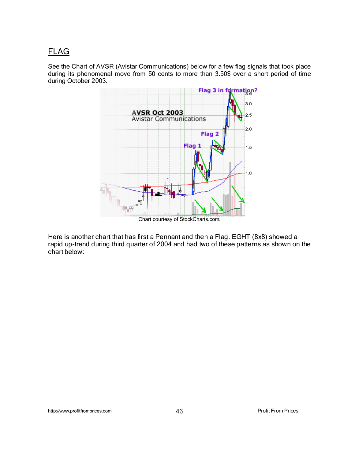#### FLAG

See the Chart of AVSR (Avistar Communications) below for a few flag signals that took place during its phenomenal move from 50 cents to more than 3.50\$ over a short period of time during October 2003.



Chart courtesy of StockCharts.com.

Here is another chart that has first a Pennant and then a Flag. EGHT (8x8) showed a rapid up-trend during third quarter of 2004 and had two of these patterns as shown on the chart below: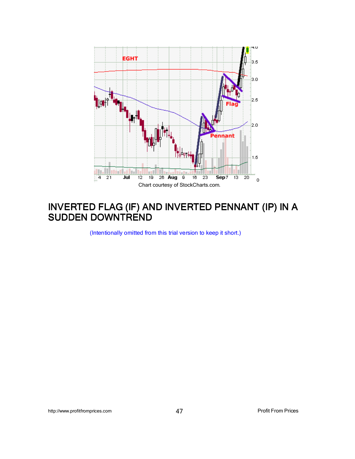

#### INVERTED FLAG (IF) AND INVERTED PENNANT (IP) IN A SUDDEN DOWNTREND

(Intentionally omitted from this trial version to keep it short.)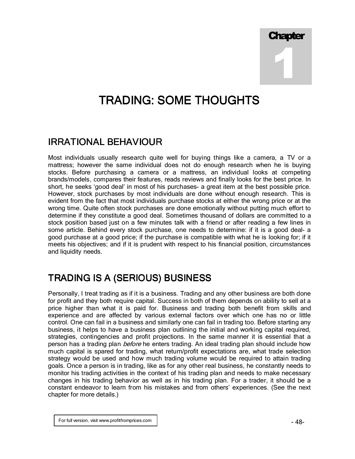Chapter 1

# TRADING: SOME THOUGHTS

#### IRRATIONAL BEHAVIOUR

Most individuals usually research quite well for buying things like a camera, a TV or a mattress; however the same individual does not do enough research when he is buying stocks. Before purchasing a camera or a mattress, an individual looks at competing brands/models, compares their features, reads reviews and finally looks for the best price. In short, he seeks 'good deal' in most of his purchases- a great item at the best possible price. However, stock purchases by most individuals are done without enough research. This is evident from the fact that most individuals purchase stocks at either the wrong price or at the wrong time. Quite often stock purchases are done emotionally without putting much effort to determine if they constitute a good deal. Sometimes thousand of dollars are committed to a stock position based just on a few minutes talk with a friend or after reading a few lines in some article. Behind every stock purchase, one needs to determine: if it is a good deal- a good purchase at a good price; if the purchase is compatible with what he is looking for; if it meets his objectives; and if it is prudent with respect to his financial position, circumstances and liquidity needs.

#### TRADING IS A (SERIOUS) BUSINESS

Personally, I treat trading as if it is a business. Trading and any other business are both done for profit and they both require capital. Success in both of them depends on ability to sell at a price higher than what it is paid for. Business and trading both benefit from skills and experience and are affected by various external factors over which one has no or little control. One can fail in a business and similarly one can fail in trading too. Before starting any business, it helps to have a business plan outlining the initial and working capital required, strategies, contingencies and profit projections. In the same manner it is essential that a person has a trading plan *before* he enters trading. An ideal trading plan should include how much capital is spared for trading, what return/profit expectations are, what trade selection strategy would be used and how much trading volume would be required to attain trading goals. Once a person is in trading, like as for any other real business, he constantly needs to monitor his trading activities in the context of his trading plan and needs to make necessary changes in his trading behavior as well as in his trading plan. For a trader, it should be a constant endeavor to learn from his mistakes and from others' experiences. (See the next chapter for more details.)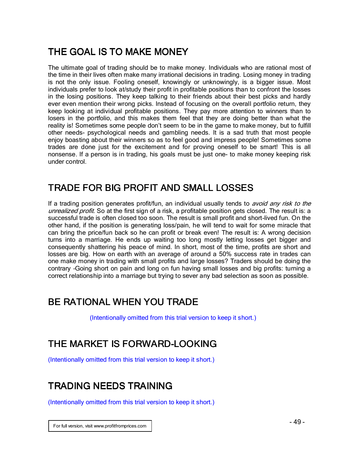## THE GOAL IS TO MAKE MONEY

The ultimate goal of trading should be to make money. Individuals who are rational most of the time in their lives often make many irrational decisions in trading. Losing money in trading is not the only issue. Fooling oneself, knowingly or unknowingly, is a bigger issue. Most individuals prefer to look at/study their profit in profitable positions than to confront the losses in the losing positions. They keep talking to their friends about their best picks and hardly ever even mention their wrong picks. Instead of focusing on the overall portfolio return, they keep looking at individual profitable positions. They pay more attention to winners than to losers in the portfolio, and this makes them feel that they are doing better than what the reality is! Sometimes some people don't seem to be in the game to make money, but to fulfill other needs- psychological needs and gambling needs. It is a sad truth that most people enjoy boasting about their winners so as to feel good and impress people! Sometimes some trades are done just for the excitement and for proving oneself to be smart! This is all nonsense. If a person is in trading, his goals must be just one- to make money keeping risk under control.

### TRADE FOR BIG PROFIT AND SMALL LOSSES

If a trading position generates profit/fun, an individual usually tends to *avoid any risk to the* unrealized profit. So at the first sign of a risk, a profitable position gets closed. The result is: a successful trade is often closed too soon. The result is small profit and short-lived fun. On the other hand, if the position is generating loss/pain, he will tend to wait for some miracle that can bring the price/fun back so he can profit or break even! The result is: A wrong decision turns into a marriage. He ends up waiting too long mostly letting losses get bigger and consequently shattering his peace of mind. In short, most of the time, profits are short and losses are big. How on earth with an average of around a 50% success rate in trades can one make money in trading with small profits and large losses? Traders should be doing the contrary –Going short on pain and long on fun having small losses and big profits: turning a correct relationship into a marriage but trying to sever any bad selection as soon as possible.

#### BE RATIONAL WHEN YOU TRADE

(Intentionally omitted from this trial version to keep it short.)

#### THE MARKET IS FORWARD-LOOKING

(Intentionally omitted from this trial version to keep it short.)

## TRADING NEEDS TRAINING

(Intentionally omitted from this trial version to keep it short.)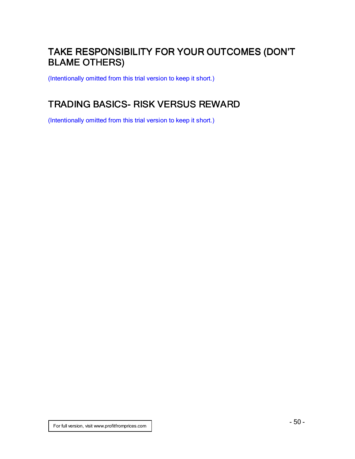### TAKE RESPONSIBILITY FOR YOUR OUTCOMES (DON'T **BLAME OTHERS)**

(Intentionally omitted from this trial version to keep it short.)

## TRADING BASICS- RISK VERSUS REWARD

(Intentionally omitted from this trial version to keep it short.)

For full version, visit www.profitfromprices.com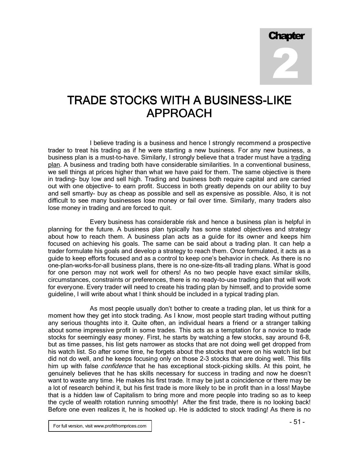Chapter 2

# TRADE STOCKS WITH A BUSINESS-LIKE APPROACH

I believe trading is a business and hence I strongly recommend a prospective trader to treat his trading as if he were starting a new business. For any new business, a business plan is a must-to-have. Similarly, I strongly believe that a trader must have a trading plan. A business and trading both have considerable similarities. In a conventional business, we sell things at prices higher than what we have paid for them. The same objective is there in trading- buy low and sell high. Trading and business both require capital and are carried out with one objective- to earn profit. Success in both greatly depends on our ability to buy and sell smartly- buy as cheap as possible and sell as expensive as possible. Also, it is not difficult to see many businesses lose money or fail over time. Similarly, many traders also lose money in trading and are forced to quit.

Every business has considerable risk and hence a business plan is helpful in planning for the future. A business plan typically has some stated objectives and strategy about how to reach them. A business plan acts as a guide for its owner and keeps him focused on achieving his goals. The same can be said about a trading plan. It can help a trader formulate his goals and develop a strategy to reach them. Once formulated, it acts as a guide to keep efforts focused and as a control to keep one's behavior in check. As there is no one-plan-works-for-all business plans, there is no one-size-fits-all trading plans. What is good for one person may not work well for others! As no two people have exact similar skills, circumstances, constraints or preferences, there is no ready-to-use trading plan that will work for everyone. Every trader will need to create his trading plan by himself, and to provide some guideline, I will write about what I think should be included in a typical trading plan.

As most people usually don't bother to create a trading plan, let us think for a moment how they get into stock trading. As I know, most people start trading without putting any serious thoughts into it. Quite often, an individual hears a friend or a stranger talking about some impressive profit in some trades. This acts as a temptation for a novice to trade stocks for seemingly easy money. First, he starts by watching a few stocks, say around 6-8, but as time passes, his list gets narrower as stocks that are not doing well get dropped from his watch list. So after some time, he forgets about the stocks that were on his watch list but did not do well, and he keeps focusing only on those 2-3 stocks that are doing well. This fills him up with false *confidence* that he has exceptional stock-picking skills. At this point, he genuinely believes that he has skills necessary for success in trading and now he doesn't want to waste any time. He makes his first trade. It may be just a coincidence or there may be a lot of research behind it, but his first trade is more likely to be in profit than in a loss! Maybe that is a hidden law of Capitalism to bring more and more people into trading so as to keep the cycle of wealth rotation running smoothly! After the first trade, there is no looking back! Before one even realizes it, he is hooked up. He is addicted to stock trading! As there is no

For full version, visit www.profitfromprices.com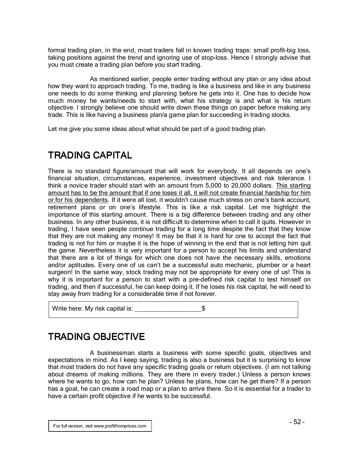formal trading plan, in the end, most traders fall in known trading traps: small profit-big loss, taking positions against the trend and ignoring use of stop-loss. Hence I strongly advise that you must create a trading plan before you start trading.

As mentioned earlier, people enter trading without any plan or any idea about how they want to approach trading. To me, trading is like a business and like in any business one needs to do some thinking and planning before he gets into it. One has to decide how much money he wants/needs to start with, what his strategy is and what is his return objective. I strongly believe one should write down these things on paper before making any trade. This is like having a business plan/a game plan for succeeding in trading stocks.

Let me give you some ideas about what should be part of a good trading plan.

### TRADING CAPITAL

There is no standard figure/amount that will work for everybody. It all depends on one's financial situation, circumstances, experience, investment objectives and risk tolerance. I think a novice trader should start with an amount from 5,000 to 20,000 dollars. This starting amount has to be the amount that if one loses it all, it will not create financial hardship for him or for his dependents. If it were all lost, it wouldn't cause much stress on one's bank account, retirement plans or on one's lifestyle. This is like a risk capital. Let me highlight the importance of this starting amount. There is a big difference between trading and any other business. In any other business, it is not difficult to determine when to callit quits. However in trading, I have seen people continue trading for a long time despite the fact that they know that they are not making any money! It may be that it is hard for one to accept the fact that trading is not for him or maybe it is the hope of winning in the end that is not letting him quit the game. Nevertheless it is very important for a person to accept his limits and understand that there are a lot of things for which one does not have the necessary skills, emotions and/or aptitudes. Every one of us can't be a successful auto mechanic, plumber or a heart surgeon! In the same way, stock trading may not be appropriate for every one of us! This is why it is important for a person to start with a pre-defined risk capital to test himself on trading, and then if successful, he can keep doing it. If he loses his risk capital, he will need to stay away from trading for a considerable time if not forever.

Write here: My risk capital is:  $\frac{1}{2}$ 

## TRADING OBJECTIVE

A businessman starts a business with some specific goals, objectives and expectations in mind. As I keep saying, trading is also a business but it is surprising to know that most traders do not have any specific trading goals or return objectives. (I am not talking about dreams of making millions. They are there in every trader.) Unless a person knows where he wants to go, how can he plan? Unless he plans, how can he get there? If a person has a goal, he can create a road map or a plan to arrive there. So it is essential for a trader to have a certain profit objective if he wants to be successful.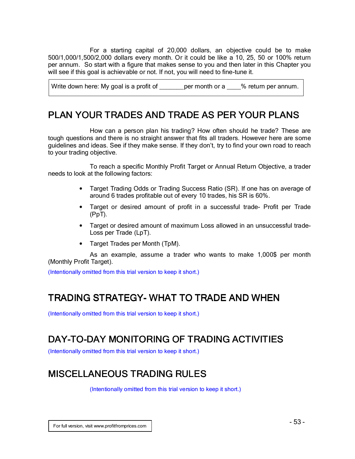For a starting capital of 20,000 dollars, an objective could be to make 500/1,000/1,500/2,000 dollars every month. Or it could be like a 10, 25, 50 or 100% return per annum. So start with a figure that makes sense to you and then later in this Chapter you will see if this goal is achievable or not. If not, you will need to fine-tune it.

Write down here: My goal is a profit of each per month or a wow % return per annum.

#### PLAN YOUR TRADES AND TRADE AS PER YOUR PLANS

How can a person plan his trading? How often should he trade? These are tough questions and there is no straight answer that fits all traders. However here are some guidelines and ideas. See if they make sense. If they don't, try to find your own road to reach to your trading objective.

To reach a specific Monthly Profit Target or Annual Return Objective, a trader needs to look at the following factors:

- Target Trading Odds or Trading Success Ratio (SR). If one has on average of around 6 trades profitable out of every 10 trades, his SR is 60%.
- Target or desired amount of profit in a successful trade- Profit per Trade (PpT).
- Target or desired amount of maximum Loss allowed in an unsuccessful trade-Loss per Trade (LpT).
- Target Trades per Month (TpM).

As an example, assume a trader who wants to make 1,000\$ per month (Monthly Profit Target).

(Intentionally omitted from this trial version to keep it short.)

#### TRADING STRATEGY- WHAT TO TRADE AND WHEN

(Intentionally omitted from this trial version to keep it short.)

## DAY-TO-DAY MONITORING OF TRADING ACTIVITIES

(Intentionally omitted from this trial version to keep it short.)

## **MISCELLANEOUS TRADING RULES**

(Intentionally omitted from this trial version to keep it short.)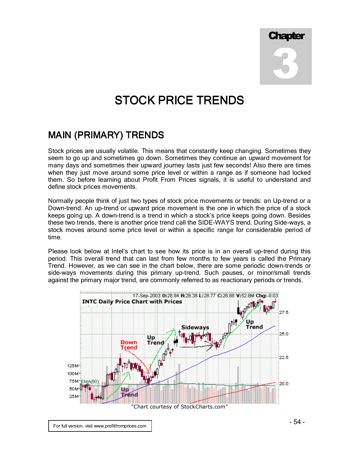Chapter 3

# **STOCK PRICE TRENDS**

#### **MAIN (PRIMARY) TRENDS**

Stock prices are usually volatile. This means that constantly keep changing. Sometimes they seem to go up and sometimes go down. Sometimes they continue an upward movement for many days and sometimes their upward journey lasts just few seconds! Also there are times when they just move around some price level or within a range as if someone had locked them. So before learning about Profit From Prices signals, it is useful to understand and define stock prices movements.

Normally people think of just two types of stock price movements or trends: an Up-trend or a Down-trend. An up-trend or upward price movement is the one in which the price of a stock keeps going up. A down-trend is a trend in which a stock's price keeps going down. Besides these two trends, there is another price trend call the SIDE-WAYS trend. During Side-ways, a stock moves around some price level or within a specific range for considerable period of time.

Please look below at Intel's chart to see how its price is in an overall up-trend during this period. This overall trend that can last from few months to few years is called the Primary Trend. However, as we can see in the chart below, there are some periodic down-trends or side-ways movements during this primary up-trend. Such pauses, or minor/small trends against the primary major trend, are commonly referred to as reactionary periods or trends.

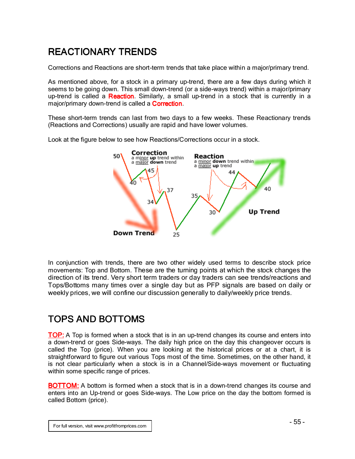## **REACTIONARY TRENDS**

Corrections and Reactions are short-term trends that take place within a major/primary trend.

As mentioned above, for a stock in a primary up-trend, there are a few days during which it seems to be going down. This small down-trend (or a side-ways trend) within a major/primary up-trend is called a Reaction. Similarly, a small up-trend in a stock that is currently in a major/primary down-trend is called a **Correction**.

These short-term trends can last from two days to a few weeks. These Reactionary trends (Reactions and Corrections) usually are rapid and have lower volumes.

> Correction  $50$ a minor up trend within<br>a major down trend Reaction a minor down trend within a major up trend 44  $\Delta \cap$ 37 35 **Up Trend** 30 **Down Trend** 25

Look at the figure below to see how Reactions/Corrections occur in a stock.

In conjunction with trends, there are two other widely used terms to describe stock price movements: Top and Bottom. These are the turning points at which the stock changes the direction of its trend. Very short term traders or day traders can see trends/reactions and Tops/Bottoms many times over a single day but as PFP signals are based on daily or weekly prices, we will confine our discussion generally to daily/weekly price trends.

## TOPS AND BOTTOMS

TOP: A Top is formed when a stock that is in an up-trend changes its course and enters into a down-trend or goes Side-ways. The daily high price on the day this changeover occurs is called the Top (price). When you are looking at the historical prices or at a chart, it is straightforward to figure out various Tops most of the time. Sometimes, on the other hand, it is not clear particularly when a stock is in a Channel/Side-ways movement or fluctuating within some specific range of prices.

**BOTTOM:** A bottom is formed when a stock that is in a down-trend changes its course and enters into an Up-trend or goes Side-ways. The Low price on the day the bottom formed is called Bottom (price).

For full version, visit www.profitfromprices.com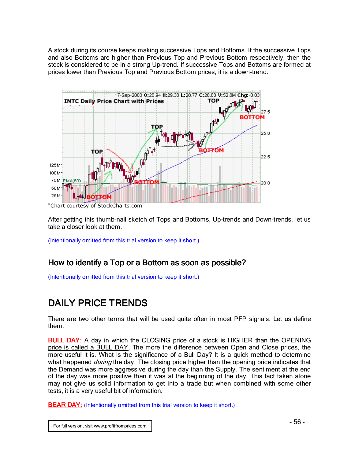A stock during its course keeps making successive Tops and Bottoms. If the successive Tops and also Bottoms are higher than Previous Top and Previous Bottom respectively, then the stock is considered to be in a strong Up-trend. If successive Tops and Bottoms are formed at prices lower than Previous Top and Previous Bottom prices, it is a down-trend.



"Chart courtesy of StockCharts.com"

After getting this thumb-nail sketch of Tops and Bottoms, Up-trends and Down-trends, let us take a closer look at them.

(Intentionally omitted from this trial version to keep it short.)

#### How to identify a Top or a Bottom as soon as possible?

(Intentionally omitted from this trial version to keep it short.)

## DAILY PRICE TRENDS

There are two other terms that will be used quite often in most PFP signals. Let us define them.

**BULL DAY:** A day in which the CLOSING price of a stock is HIGHER than the OPENING price is called a BULL DAY. The more the difference between Open and Close prices, the more useful it is. What is the significance of a Bull Day? It is a quick method to determine what happened *during* the day. The closing price higher than the opening price indicates that the Demand was more aggressive during the day than the Supply. The sentiment at the end of the day was more positive than it was at the beginning of the day. This fact taken alone may not give us solid information to get into a trade but when combined with some other tests, it is a very useful bit of information.

**BEAR DAY:** (Intentionally omitted from this trial version to keep it short.)

For full version, visit www.profitfromprices.com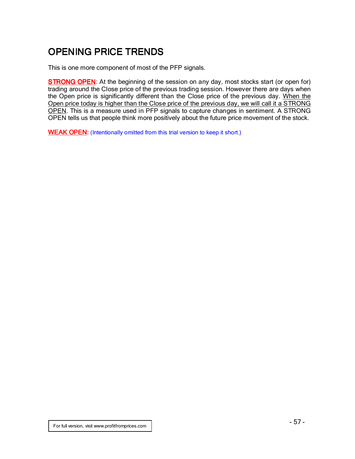## **OPENING PRICE TRENDS**

This is one more component of most of the PFP signals.

**STRONG OPEN:** At the beginning of the session on any day, most stocks start (or open for) trading around the Close price of the previous trading session. However there are days when the Open price is significantly different than the Close price of the previous day. When the Open price today is higher than the Close price of the previous day, we will call it a STRONG OPEN. This is a measure used in PFP signals to capture changes in sentiment. A STRONG OPEN tells us that people think more positively about the future price movement of the stock.

WEAK OPEN: (Intentionally omitted from this trial version to keep it short.)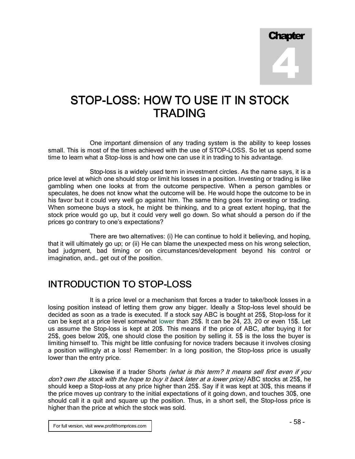Chapter 4

# STOP-LOSS: HOW TO USE IT IN STOCK **TRADING**

One important dimension of any trading system is the ability to keep losses small. This is most of the times achieved with the use of STOP-LOSS. So let us spend some time to learn what a Stop-loss is and how one can use it in trading to his advantage.

Stop-loss is a widely used term in investment circles. As the name says, it is a price level at which one should stop or limit his losses in a position. Investing or trading is like gambling when one looks at from the outcome perspective. When a person gambles or speculates, he does not know what the outcome will be. He would hope the outcome to be in his favor but it could very well go against him. The same thing goes for investing or trading. When someone buys a stock, he might be thinking, and to a great extent hoping, that the stock price would go up, but it could very well go down. So what should a person do if the prices go contrary to one's expectations?

There are two alternatives: (i) He can continue to hold it believing, and hoping, that it will ultimately go up; or (ii) He can blame the unexpected mess on his wrong selection, bad judgment, bad timing or on circumstances/development beyond his control or imagination, and… get out of the position.

## INTRODUCTION TO STOP-LOSS

It is a price level or a mechanism that forces a trader to take/book losses in a losing position instead of letting them grow any bigger. Ideally a Stop-loss level should be decided as soon as a trade is executed. If a stock say ABC is bought at 25\$, Stop-loss for it can be kept at a price level somewhat lower than 25\$. It can be 24, 23, 20 or even 15\$. Let us assume the Stop-loss is kept at 20\$. This means if the price of ABC, after buying it for 25\$, goes below 20\$, one should close the position by selling it. 5\$ is the loss the buyer is limiting himself to. This might be little confusing for novice traders because it involves closing a position willingly at a loss! Remember: In a long position, the Stop-loss price is usually lower than the entry price.

Likewise if a trader Shorts *(what is this term? It means sell first even if you* don't own the stock with the hope to buy it back later at a lower price) ABC stocks at 25\$, he should keep a Stop-loss at any price higher than 25\$. Say if it was kept at 30\$, this means if the price moves up contrary to the initial expectations of it going down, and touches 30\$, one should call it a quit and square up the position. Thus, in a short sell, the Stop-loss price is higher than the price at which the stock was sold.

For full version, visit www.profitfromprices.com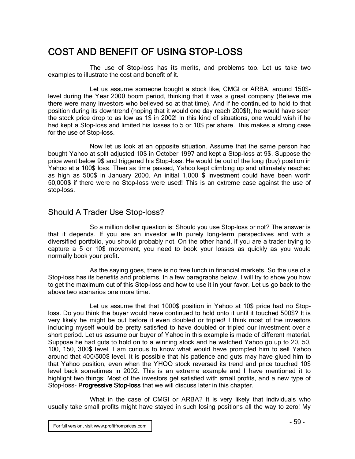#### COST AND BENEFIT OF USING STOP-LOSS

The use of Stop-loss has its merits, and problems too. Let us take two examples to illustrate the cost and benefit of it.

Let us assume someone bought a stock like, CMGI or ARBA, around 150\$ level during the Year 2000 boom period, thinking that it was a great company (Believe me there were many investors who believed so at that time). And if he continued to hold to that position during its downtrend (hoping that it would one day reach 200\$!), he would have seen the stock price drop to as low as 1\$ in 2002! In this kind of situations, one would wish if he had kept a Stop-loss and limited his losses to 5 or 10\$ per share. This makes a strong case for the use of Stop-loss.

Now let us look at an opposite situation. Assume that the same person had bought Yahoo at split adjusted 10\$ in October 1997 and kept a Stop-loss at 9\$. Suppose the price went below 9\$ and triggered his Stop-loss. He would be out of the long (buy) position in Yahoo at a 100\$ loss. Then as time passed, Yahoo kept climbing up and ultimately reached as high as 500\$ in January 2000. An initial 1,000 \$ investment could have been worth 50,000\$ if there were no Stop-loss were used! This is an extreme case against the use of stop-loss.

#### Should A Trader Use Stop-loss?

So a million dollar question is: Should you use Stop-loss or not? The answer is that it depends. If you are an investor with purely long-term perspectives and with a diversified portfolio, you should probably not. On the other hand, if you are a trader trying to capture a 5 or 10\$ movement, you need to book your losses as quickly as you would normally book your profit.

As the saying goes, there is no free lunch in financial markets. So the use of a Stop-loss has its benefits and problems. In a few paragraphs below, I will try to show you how to get the maximum out of this Stop-loss and how to use it in your favor. Let us go back to the above two scenarios one more time.

Let us assume that that 1000\$ position in Yahoo at 10\$ price had no Stoploss. Do you think the buyer would have continued to hold onto it until it touched 500\$? It is very likely he might be out before it even doubled or tripled! I think most of the investors including myself would be pretty satisfied to have doubled or tripled our investment over a short period. Let us assume our buyer of Yahoo in this example is made of different material. Suppose he had guts to hold on to a winning stock and he watched Yahoo go up to 20, 50, 100, 150, 300\$ level. I am curious to know what would have prompted him to sell Yahoo around that 400/500\$ level. It is possible that his patience and guts may have glued him to that Yahoo position, even when the YHOO stock reversed its trend and price touched 10\$ level back sometimes in 2002. This is an extreme example and I have mentioned it to highlight two things: Most of the investors get satisfied with small profits, and a new type of Stop-loss- Progressive Stop-loss that we will discuss later in this chapter.

What in the case of CMGI or ARBA? It is very likely that individuals who usually take small profits might have stayed in such losing positions all the way to zero! My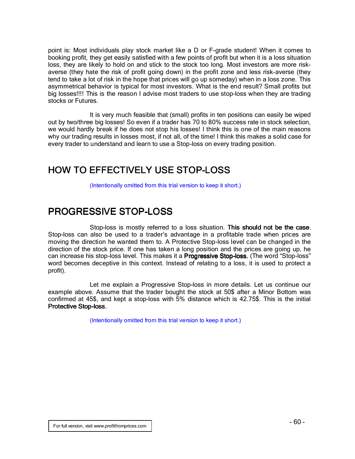point is: Most individuals play stock market like a D or F-grade student! When it comes to booking profit, they get easily satisfied with a few points of profit but when it is a loss situation loss, they are likely to hold on and stick to the stock too long. Most investors are more riskaverse (they hate the risk of profit going down) in the profit zone and less risk-averse (they tend to take a lot of risk in the hope that prices will go up someday) when in a loss zone. This asymmetrical behavior is typical for most investors. What is the end result? Small profits but big losses!!!! This is the reason I advise most traders to use stop-loss when they are trading stocks or Futures.

It is very much feasible that (small) profits in ten positions can easily be wiped out by two/three big losses! So even if a trader has 70 to 80% success rate in stock selection, we would hardly break if he does not stop his losses! I think this is one of the main reasons why our trading results in losses most, if not all, of the time! I think this makes a solid case for every trader to understand and learn to use a Stop-loss on every trading position.

#### HOW TO EFFECTIVELY USE STOP-LOSS

(Intentionally omitted from this trial version to keep it short.)

#### **PROGRESSIVE STOP-LOSS**

Stop-loss is mostly referred to a loss situation. This should not be the case. Stop-loss can also be used to a trader's advantage in a profitable trade when prices are moving the direction he wanted them to. A Protective Stop-loss level can be changed in the direction of the stock price. If one has taken a long position and the prices are going up, he can increase his stop-loss level. This makes it a Progressive Stop-loss. (The word "Stop-loss" word becomes deceptive in this context. Instead of relating to a loss, it is used to protect a profit).

Let me explain a Progressive Stop-loss in more details. Let us continue our example above. Assume that the trader bought the stock at 50\$ after a Minor Bottom was confirmed at 45\$, and kept a stop-loss with 5% distance which is 42.75\$. This is the initial Protective Stop-loss.

(Intentionally omitted from this trial version to keep it short.)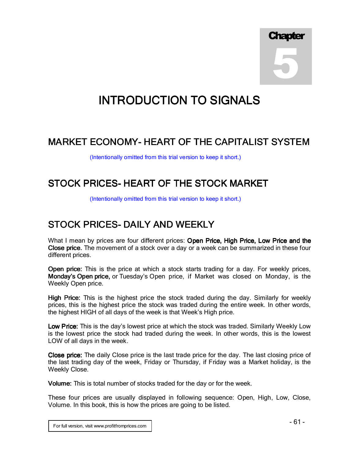Chapter 5

# INTRODUCTION TO SIGNALS

#### MARKET ECONOMY- HEART OF THE CAPITALIST SYSTEM

(Intentionally omitted from this trial version to keep it short.)

### STOCK PRICES- HEART OF THE STOCK MARKET

(Intentionally omitted from this trial version to keep it short.)

#### STOCK PRICES- DAILY AND WEEKLY

What I mean by prices are four different prices: Open Price, High Price, Low Price and the Close price. The movement of a stock over a day or a week can be summarized in these four different prices.

Open price: This is the price at which a stock starts trading for a day. For weekly prices, **Monday's Open price,** or Tuesday's Open price, if Market was closed on Monday, is the Weekly Open price.

High Price: This is the highest price the stock traded during the day. Similarly for weekly prices, this is the highest price the stock was traded during the entire week. In other words, the highest HIGH of all days of the week is that Week's High price.

Low Price: This is the day's lowest price at which the stock was traded. Similarly Weekly Low is the lowest price the stock had traded during the week. In other words, this is the lowest LOW of all days in the week.

Close price: The daily Close price is the last trade price for the day. The last closing price of the last trading day of the week, Friday or Thursday, if Friday was a Market holiday, is the Weekly Close.

Volume: This is total number of stocks traded for the day or for the week.

These four prices are usually displayed in following sequence: Open, High, Low, Close, Volume. In this book, this is how the prices are going to be listed.

For full version, visit www.profitfromprices.com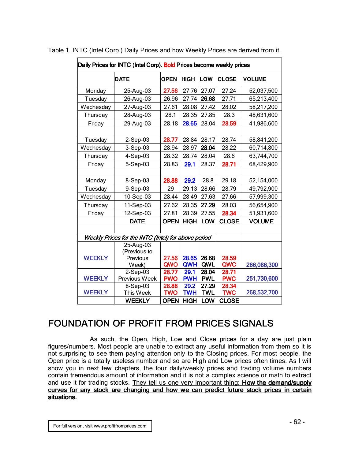| Daily Prices for INTC (Intel Corp). Bold Prices become weekly prices |                                                     |             |             |            |              |               |  |  |  |  |
|----------------------------------------------------------------------|-----------------------------------------------------|-------------|-------------|------------|--------------|---------------|--|--|--|--|
|                                                                      | <b>DATE</b>                                         | <b>OPEN</b> | <b>HIGH</b> | LOW        | <b>CLOSE</b> | <b>VOLUME</b> |  |  |  |  |
| Monday                                                               | 25-Aug-03                                           |             | 27.76       | 27.07      | 27.24        | 52,037,500    |  |  |  |  |
| Tuesday                                                              | 26-Aug-03                                           | 26.96       | 27.74       | 26.68      | 27.71        | 65,213,400    |  |  |  |  |
| Wednesday                                                            | 27-Aug-03                                           | 27.61       | 28.08       | 27.42      | 28.02        | 58,217,200    |  |  |  |  |
| Thursday                                                             | 28-Aug-03                                           | 28.1        | 28.35       | 27.85      | 28.3         | 48,631,600    |  |  |  |  |
| Friday                                                               | 29-Aug-03                                           | 28.18       | 28.65       | 28.04      | 28.59        | 41,986,600    |  |  |  |  |
|                                                                      |                                                     |             |             |            |              |               |  |  |  |  |
| Tuesday                                                              | 2-Sep-03                                            | 28.77       | 28.84       | 28.17      | 28.74        | 58,841,200    |  |  |  |  |
| Wednesday                                                            | 3-Sep-03                                            | 28.94       | 28.97       | 28.04      | 28.22        | 60,714,800    |  |  |  |  |
| Thursday                                                             | 4-Sep-03                                            |             | 28.74       | 28.04      | 28.6         | 63,744,700    |  |  |  |  |
| Friday                                                               | 5-Sep-03                                            | 28.83       | 29.1        | 28.37      | 28.71        | 68,429,900    |  |  |  |  |
|                                                                      |                                                     |             |             |            |              |               |  |  |  |  |
| Monday                                                               | 8-Sep-03                                            | 28.88       | 29.2        | 28.8       | 29.18        | 52,154,000    |  |  |  |  |
| Tuesday                                                              | 9-Sep-03                                            | 29          | 29.13       | 28.66      | 28.79        | 49,792,900    |  |  |  |  |
| Wednesday                                                            | 10-Sep-03                                           | 28.44       | 28.49       | 27.63      | 27.66        | 57,999,300    |  |  |  |  |
| Thursday                                                             | 11-Sep-03                                           | 27.62       | 28.35       | 27.29      | 28.03        | 56,654,900    |  |  |  |  |
| Friday                                                               | 12-Sep-03                                           | 27.81       | 28.39       | 27.55      | 28.34        | 51,931,600    |  |  |  |  |
|                                                                      | <b>DATE</b>                                         | <b>OPEN</b> | <b>HIGH</b> | <b>LOW</b> | <b>CLOSE</b> | <b>VOLUME</b> |  |  |  |  |
|                                                                      |                                                     |             |             |            |              |               |  |  |  |  |
|                                                                      | Weekly Prices for the INTC (Intel) for above period |             |             |            |              |               |  |  |  |  |
| <b>WEEKLY</b>                                                        | 25-Aug-03<br>(Previous to<br>Previous               | 27.56       | 28.65       | 26.68      | 28.59        |               |  |  |  |  |
|                                                                      | Week)                                               | QWO         | <b>QWH</b>  | QWL        | QWC          | 266,086,300   |  |  |  |  |
|                                                                      | $2-Sep-03$                                          | 28.77       | 29.1        | 28.04      | 28.71        |               |  |  |  |  |
| <b>WEEKLY</b>                                                        | Previous Week                                       | <b>PWO</b>  | <b>PWH</b>  | <b>PWL</b> | <b>PWC</b>   | 251,730,600   |  |  |  |  |
|                                                                      | 8-Sep-03                                            | 28.88       | 29.2        | 27.29      | 28.34        |               |  |  |  |  |
| <b>WEEKLY</b><br>This Week                                           |                                                     | <b>TWO</b>  | <b>TWH</b>  | <b>TWL</b> | <b>TWC</b>   | 268,532,700   |  |  |  |  |
|                                                                      | <b>WEEKLY</b>                                       | <b>OPEN</b> | <b>HIGH</b> | <b>LOW</b> | <b>CLOSE</b> |               |  |  |  |  |

Table 1. INTC (Intel Corp.) Daily Prices and how Weekly Prices are derived from it.

#### FOUNDATION OF PROFIT FROM PRICES SIGNALS

As such, the Open, High, Low and Close prices for a day are just plain figures/numbers. Most people are unable to extract any useful information from them so it is not surprising to see them paying attention only to the Closing prices. For most people, the Open price is a totally useless number and so are High and Low prices often times. As I will show you in next few chapters, the four daily/weekly prices and trading volume numbers contain tremendous amount of information and it is not a complex science or math to extract and use it for trading stocks. They tell us one very important thing: How the demand/supply curves for any stock are changing and how we can predict future stock prices in certain situations.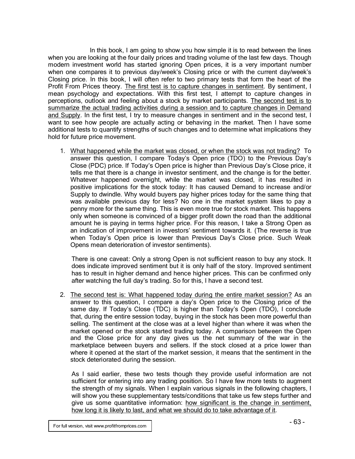In this book, I am going to show you how simple it is to read between the lines when you are looking at the four daily prices and trading volume of the last few days. Though modern investment world has started ignoring Open prices, it is a very important number when one compares it to previous day/week's Closing price or with the current day/week's Closing price. In this book, I will often refer to two primary tests that form the heart of the Profit From Prices theory. The first test is to capture changes in sentiment. By sentiment, I mean psychology and expectations. With this first test, I attempt to capture changes in perceptions, outlook and feeling about a stock by market participants. The second test is to summarize the actual trading activities during a session and to capture changes in Demand and Supply. In the first test, I try to measure changes in sentiment and in the second test, I want to see how people are actually acting or behaving in the market. Then I have some additional tests to quantify strengths of such changes and to determine what implications they hold for future price movement.

1. What happened while the market was closed, or when the stock was not trading? To answer this question, I compare Today's Open price (TDO) to the Previous Day's Close (PDC) price. If Today's Open price is higher than Previous Day's Close price, it tells me that there is a change in investor sentiment, and the change is for the better. Whatever happened overnight, while the market was closed, it has resulted in positive implications for the stock today: It has caused Demand to increase and/or Supply to dwindle. Why would buyers pay higher prices today for the same thing that was available previous day for less? No one in the market system likes to pay a penny more for the same thing. This is even more true for stock market. This happens only when someone is convinced of a bigger profit down the road than the additional amount he is paying in terms higher price. For this reason, I take a Strong Open as an indication of improvement in investors' sentiment towards it. (The reverse is true when Today's Open price is lower than Previous Day's Close price. Such Weak Opens mean deterioration of investor sentiments).

There is one caveat: Only a strong Open is not sufficient reason to buy any stock. It does indicate improved sentiment but it is only half of the story. Improved sentiment has to result in higher demand and hence higher prices. This can be confirmed only after watching the full day's trading. So for this, I have a second test.

2. The second test is: What happened today during the entire market session? As an answer to this question, I compare a day's Open price to the Closing price of the same day. If Today's Close (TDC) is higher than Today's Open (TDO), I conclude that, during the entire session today, buying in the stock has been more powerful than selling. The sentiment at the close was at a level higher than where it was when the market opened or the stock started trading today. A comparison between the Open and the Close price for any day gives us the net summary of the war in the marketplace between buyers and sellers. If the stock closed at a price lower than where it opened at the start of the market session, it means that the sentiment in the stock deteriorated during the session.

As I said earlier, these two tests though they provide useful information are not sufficient for entering into any trading position. So I have few more tests to augment the strength of my signals. When I explain various signals in the following chapters, I will show you these supplementary tests/conditions that take us few steps further and give us some quantitative information: how significant is the change in sentiment, how long it is likely to last, and what we should do to take advantage of it.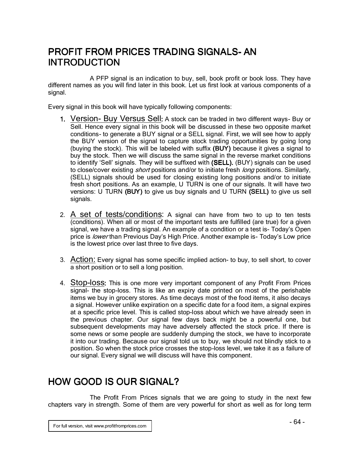#### PROFIT FROM PRICES TRADING SIGNALS- AN **INTRODUCTION**

A PFP signal is an indication to buy, sell, book profit or book loss. They have different names as you will find later in this book. Let us first look at various components of a signal.

Every signal in this book will have typically following components:

- 1. Version- Buy Versus Sell: A stock can be traded in two different ways- Buy or Sell. Hence every signal in this book will be discussed in these two opposite market conditions- to generate a BUY signal or a SELL signal. First, we will see how to apply the BUY version of the signal to capture stock trading opportunities by going long (buying the stock). This will be labeled with suffix (BUY) because it gives a signal to buy the stock. Then we will discuss the same signal in the reverse market conditions to identify 'Sell' signals. They will be suffixed with (SELL). (BUY) signals can be used to close/cover existing *short* positions and/or to initiate fresh *long* positions. Similarly, (SELL) signals should be used for closing existing long positions and/or to initiate fresh short positions. As an example, U TURN is one of our signals. It will have two versions: U TURN (BUY) to give us buy signals and U TURN (SELL) to give us sell signals.
- 2. A set of tests/conditions: A signal can have from two to up to ten tests (conditions). When all or most of the important tests are fulfilled (are true) for a given signal, we have a trading signal. An example of a condition or a test is- Today's Open price is *lower* than Previous Day's High Price. Another example is- Today's Low price is the lowest price over last three to five days.
- 3. Action: Every signal has some specific implied action- to buy, to sell short, to cover a short position or to sell a long position.
- 4. Stop-loss: This is one more very important component of any Profit From Prices signal- the stop-loss. This is like an expiry date printed on most of the perishable items we buy in grocery stores. As time decays most of the food items, it also decays a signal. However unlike expiration on a specific date for a food item, a signal expires at a specific price level. This is called stop-loss about which we have already seen in the previous chapter. Our signal few days back might be a powerful one, but subsequent developments may have adversely affected the stock price. If there is some news or some people are suddenly dumping the stock, we have to incorporate it into our trading. Because our signal told us to buy, we should not blindly stick to a position. So when the stock price crosses the stop-loss level, we take it as a failure of our signal. Every signal we will discuss will have this component.

## HOW GOOD IS OUR SIGNAL?

The Profit From Prices signals that we are going to study in the next few chapters vary in strength. Some of them are very powerful for short as well as for long term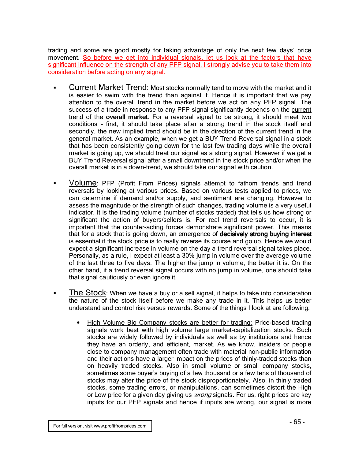trading and some are good mostly for taking advantage of only the next few days' price movement. So before we get into individual signals, let us look at the factors that have significant influence on the strength of any PFP signal. I strongly advise you to take them into consideration before acting on any signal.

- Current Market Trend: Most stocks normally tend to move with the market and it is easier to swim with the trend than against it. Hence it is important that we pay attention to the overall trend in the market before we act on any PFP signal. The success of a trade in response to any PFP signal significantly depends on the current trend of the **overall market**. For a reversal signal to be strong, it should meet two conditions - first, it should take place after a strong trend in the stock itself and secondly, the new implied trend should be in the direction of the current trend in the general market. As an example, when we get a BUY Trend Reversal signal in a stock that has been consistently going down for the last few trading days while the overall market is going up, we should treat our signal as a strong signal. However if we get a BUY Trend Reversal signal after a small downtrend in the stock price and/or when the overall market is in a down-trend, we should take our signal with caution.
- Volume: PFP (Profit From Prices) signals attempt to fathom trends and trend reversals by looking at various prices. Based on various tests applied to prices, we can determine if demand and/or supply, and sentiment are changing. However to assess the magnitude or the strength of such changes, trading volume is a very useful indicator. It is the trading volume (number of stocks traded) that tells us how strong or significant the action of buyers/sellers is. For real trend reversals to occur, it is important that the counter-acting forces demonstrate significant power. This means that for a stock that is going down, an emergence of **decisively strong buying interest** is essential if the stock price is to really reverse its course and go up. Hence we would expect a significant increase in volume on the day a trend reversal signal takes place. Personally, as a rule, I expect at least a 30% jump in volume over the average volume of the last three to five days. The higher the jump in volume, the better it is. On the other hand, if a trend reversal signal occurs with no jump in volume, one should take that signal cautiously or even ignore it.
- **The Stock**: When we have a buy or a sell signal, it helps to take into consideration the nature of the stock itself before we make any trade in it. This helps us better understand and control risk versus rewards. Some of the things I look at are following.
	- High Volume Big Company stocks are better for trading: Price-based trading signals work best with high volume large market-capitalization stocks. Such stocks are widely followed by individuals as well as by institutions and hence they have an orderly, and efficient, market. As we know, insiders or people close to company management often trade with material non-public information and their actions have a larger impact on the prices of thinly-traded stocks than on heavily traded stocks. Also in small volume or small company stocks, sometimes some buyer's buying of a few thousand or a few tens of thousand of stocks may alter the price of the stock disproportionately. Also, in thinly traded stocks, some trading errors, or manipulations, can sometimes distort the High or Low price for a given day giving us *wrong* signals. For us, right prices are key inputs for our PFP signals and hence if inputs are wrong, our signal is more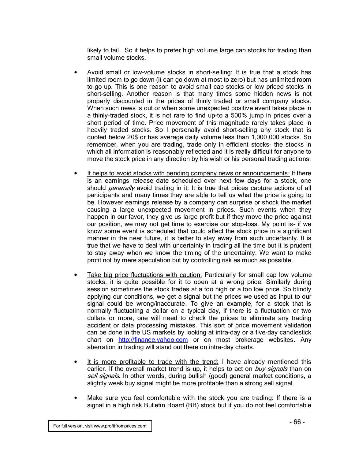likely to fail. So it helps to prefer high volume large cap stocks for trading than small volume stocks.

- Avoid small or low-volume stocks in short-selling: It is true that a stock has limited room to go down (it can go down at most to zero) but has unlimited room to go up. This is one reason to avoid small cap stocks or low priced stocks in short-selling. Another reason is that many times some hidden news is not properly discounted in the prices of thinly traded or small company stocks. When such news is out or when some unexpected positive event takes place in a thinly-traded stock, it is not rare to find up-to a 500% jump in prices over a short period of time. Price movement of this magnitude rarely takes place in heavily traded stocks. So I personally avoid short-selling any stock that is quoted below 20\$ or has average daily volume less than 1,000,000 stocks. So remember, when you are trading, trade only in efficient stocks- the stocks in which all information is reasonably reflected and it is really difficult for anyone to move the stock price in any direction by his wish or his personal trading actions.
- It helps to avoid stocks with pending company news or announcements: If there is an earnings release date scheduled over next few days for a stock, one should *generally* avoid trading in it. It is true that prices capture actions of all participants and many times they are able to tell us what the price is going to be. However earnings release by a company can surprise or shock the market causing a large unexpected movement in prices. Such events when they happen in our favor, they give us large profit but if they move the price against our position, we may not get time to exercise our stop-loss. My point is- if we know some event is scheduled that could affect the stock price in a significant manner in the near future, it is better to stay away from such uncertainty. It is true that we have to deal with uncertainty in trading all the time but it is prudent to stay away when we know the timing of the uncertainty. We want to make profit not by mere speculation but by controlling risk as much as possible.
- Take big price fluctuations with caution: Particularly for small cap low volume stocks, it is quite possible for it to open at a wrong price. Similarly during session sometimes the stock trades at a too high or a too low price. So blindly applying our conditions, we get a signal but the prices we used as input to our signal could be wrong/inaccurate. To give an example, for a stock that is normally fluctuating a dollar on a typical day, if there is a fluctuation or two dollars or more, one will need to check the prices to eliminate any trading accident or data processing mistakes. This sort of price movement validation can be done in the US markets by looking at intra-day or a five-day candlestick chart on http://finance.yahoo.com or on most brokerage websites. Any aberration in trading will stand out there on intra-day charts.
- It is more profitable to trade with the trend: I have already mentioned this earlier. If the overall market trend is up, it helps to act on *buy signals* than on sell signals. In other words, during bullish (good) general market conditions, a slightly weak buy signal might be more profitable than a strong sell signal.
- Make sure you feel comfortable with the stock you are trading: If there is a signal in a high risk Bulletin Board (BB) stock but if you do not feel comfortable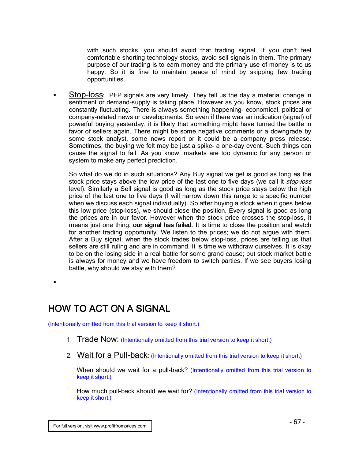with such stocks, you should avoid that trading signal. If you don't feel comfortable shorting technology stocks, avoid sell signals in them. The primary purpose of our trading is to earn money and the primary use of money is to us happy. So it is fine to maintain peace of mind by skipping few trading opportunities.

• Stop-loss: PFP signals are very timely. They tell us the day a material change in sentiment or demand-supply is taking place. However as you know, stock prices are constantly fluctuating. There is always something happening- economical, political or company-related news or developments. So even if there was an indication (signal) of powerful buying yesterday, it is likely that something might have turned the battle in favor of sellers again. There might be some negative comments or a downgrade by some stock analyst, some news report or it could be a company press release. Sometimes, the buying we felt may be just a spike- a one-day event. Such things can cause the signal to fail. As you know, markets are too dynamic for any person or system to make any perfect prediction.

So what do we do in such situations? Any Buy signal we get is good as long as the stock price stays above the low price of the last one to five days (we call it *stop-loss* level). Similarly a Sell signal is good as long as the stock price stays below the high price of the last one to five days (I will narrow down this range to a specific number when we discuss each signal individually). So after buying a stock when it goes below this low price (stop-loss), we should close the position. Every signal is good as long the prices are in our favor. However when the stock price crosses the stop-loss, it means just one thing: **our signal has failed.** It is time to close the position and watch for another trading opportunity. We listen to the prices; we do not argue with them. After a Buy signal, when the stock trades below stop-loss, prices are telling us that sellers are still ruling and are in command. It is time we withdraw ourselves. It is okay to be on the losing side in a real battle for some grand cause; but stock market battle is always for money and we have freedom to switch parties. If we see buyers losing battle, why should we stay with them?

 $\blacksquare$ 

## HOW TO ACT ON A SIGNAL

(Intentionally omitted from this trial version to keep it short.)

- 1. Trade Now: (Intentionally omitted from this trial version to keep it short.)
- 2. Wait for a Pull-back: (Intentionally omitted from this trial version to keep it short.)

When should we wait for a pull-back? (Intentionally omitted from this trial version to keep it short.)

How much pull-back should we wait for? (Intentionally omitted from this trial version to keep it short.)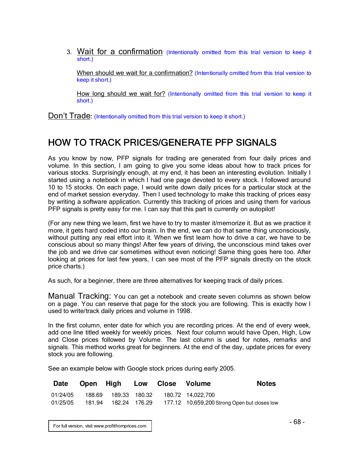3. Wait for a confirmation (Intentionally omitted from this trial version to keep it short.)

When should we wait for a confirmation? (Intentionally omitted from this trial version to keep it short.)

How long should we wait for? (Intentionally omitted from this trial version to keep it short.)

Don't Trade: (Intentionally omitted from this trial version to keep it short.)

## HOW TO TRACK PRICES/GENERATE PFP SIGNALS

As you know by now, PFP signals for trading are generated from four daily prices and volume. In this section, I am going to give you some ideas about how to track prices for various stocks. Surprisingly enough, at my end, it has been an interesting evolution. Initially I started using a notebook in which I had one page devoted to every stock. I followed around 10 to 15 stocks. On each page, I would write down daily prices for a particular stock at the end of market session everyday. Then I used technology to make this tracking of prices easy by writing a software application. Currently this tracking of prices and using them for various PFP signals is pretty easy for me. I can say that this part is currently on autopilot!

(For any new thing we learn, first we have to try to master it/memorize it. But as we practice it more, it gets hard coded into our brain. In the end, we can do that same thing unconsciously, without putting any real effort into it. When we first learn how to drive a car, we have to be conscious about so many things! After few years of driving, the unconscious mind takes over the job and we drive car sometimes without even noticing! Same thing goes here too. After looking at prices for last few years, I can see most of the PFP signals directly on the stock price charts.)

As such, for a beginner, there are three alternatives for keeping track of daily prices.

Manual Tracking: You can get a notebook and create seven columns as shown below on a page. You can reserve that page for the stock you are following. This is exactly how I used to write/track daily prices and volume in 1998.

In the first column, enter date for which you are recording prices. At the end of every week, add one line titled weekly for weekly prices. Next four column would have Open, High, Low and Close prices followed by Volume. The last column is used for notes, remarks and signals. This method works great for beginners. At the end of the day, update prices for every stock you are following.

See an example below with Google stock prices during early 2005.

|          |  |  | Date Open High Low Close Volume                                   | <b>Notes</b> |
|----------|--|--|-------------------------------------------------------------------|--------------|
| 01/24/05 |  |  | 188.69  189.33  180.32  180.72  14.022.700                        |              |
| 01/25/05 |  |  | 181.94 182.24 176.29 177.12 10,659,200 Strong Open but closes low |              |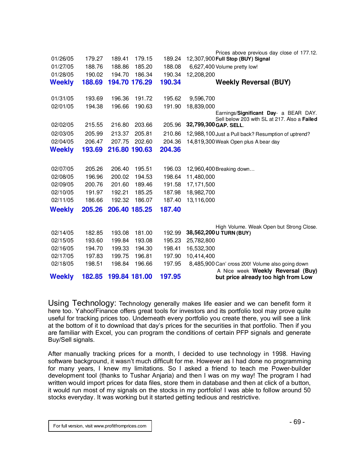|               |        |               |               |        | Prices above previous day close of 177.12.                                            |
|---------------|--------|---------------|---------------|--------|---------------------------------------------------------------------------------------|
| 01/26/05      | 179.27 | 189.41        | 179.15        | 189.24 | 12,307,900 Full Stop (BUY) Signal                                                     |
| 01/27/05      | 188.76 | 188.86        | 185.20        | 188.08 | 6,627,400 Volume pretty low!                                                          |
| 01/28/05      | 190.02 | 194.70        | 186.34        | 190.34 | 12,208,200                                                                            |
| <b>Weekly</b> | 188.69 |               | 194.70 176.29 | 190.34 | <b>Weekly Reversal (BUY)</b>                                                          |
|               |        |               |               |        |                                                                                       |
| 01/31/05      | 193.69 | 196.36        | 191.72        | 195.62 | 9,596,700                                                                             |
| 02/01/05      | 194.38 | 196.66        | 190.63        | 191.90 | 18,839,000                                                                            |
|               |        |               |               |        | Earnings/Significant Day- a BEAR DAY.<br>Sell below 203 with SL at 217. Also a Failed |
| 02/02/05      | 215.55 | 216.80        | 203.66        | 205.96 | 32,799,300 GAP. SELL.                                                                 |
| 02/03/05      | 205.99 | 213.37        | 205.81        | 210.86 | 12,988,100 Just a Pull back? Resumption of uptrend?                                   |
| 02/04/05      | 206.47 | 207.75        | 202.60        | 204.36 | 14,819,300 Weak Open plus A bear day                                                  |
| <b>Weekly</b> | 193.69 | 216.80 190.63 |               | 204.36 |                                                                                       |
|               |        |               |               |        |                                                                                       |
| 02/07/05      | 205.26 | 206.40        | 195.51        | 196.03 | 12,960,400 Breaking down                                                              |
| 02/08/05      | 196.96 | 200.02        | 194.53        | 198.64 | 11,480,000                                                                            |
| 02/09/05      | 200.76 | 201.60        | 189.46        | 191.58 | 17,171,500                                                                            |
| 02/10/05      | 191.97 | 192.21        | 185.25        | 187.98 | 18,982,700                                                                            |
| 02/11/05      | 186.66 | 192.32        | 186.07        | 187.40 | 13,116,000                                                                            |
| <b>Weekly</b> | 205.26 | 206.40 185.25 |               | 187.40 |                                                                                       |
|               |        |               |               |        |                                                                                       |
|               |        |               |               |        | High Volume. Weak Open but Strong Close.                                              |
| 02/14/05      | 182.85 | 193.08        | 181.00        | 192.99 | 38,562,200 U TURN (BUY)                                                               |
| 02/15/05      | 193.60 | 199.84        | 193.08        | 195.23 | 25,782,800                                                                            |
| 02/16/05      | 194.70 | 199.33        | 194.30        | 198.41 | 16,532,300                                                                            |
| 02/17/05      | 197.83 | 199.75        | 196.81        | 197.90 | 10,414,400                                                                            |
| 02/18/05      | 198.51 | 198.84        | 196.66        | 197.95 | 8,485,900 Can' cross 200! Volume also going down<br>A Nice week Weekly Reversal (Buy) |
| <b>Weekly</b> | 182.85 | 199.84 181.00 |               | 197.95 | but price already too high from Low                                                   |

Using Technology: Technology generally makes life easier and we can benefit form it here too. Yahoo!Finance offers great tools for investors and its portfolio tool may prove quite useful for tracking prices too. Underneath every portfolio you create there, you will see a link at the bottom of it to download that day's prices for the securities in that portfolio. Then if you are familiar with Excel, you can program the conditions of certain PFP signals and generate Buy/Sell signals.

After manually tracking prices for a month, I decided to use technology in 1998. Having software background, it wasn't much difficult for me. However as I had done no programming for many years, I knew my limitations. So I asked a friend to teach me Power-builder development tool (thanks to Tushar Anjaria) and then I was on my way! The program I had written would import prices for data files, store them in database and then at click of a button, it would run most of my signals on the stocks in my portfolio! I was able to follow around 50 stocks everyday. It was working but it started getting tedious and restrictive.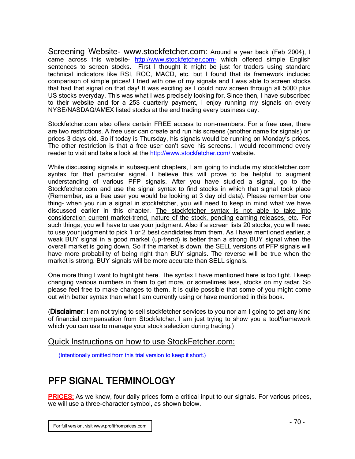Screening Website- www.stockfetcher.com: Around a year back (Feb 2004), I came across this website- http://www.stockfetcher.com- which offered simple English sentences to screen stocks. First I thought it might be just for traders using standard technical indicators like RSI, ROC, MACD, etc. but I found that its framework included comparison of simple prices! I tried with one of my signals and I was able to screen stocks that had that signal on that day! It was exciting as I could now screen through all 5000 plus US stocks everyday. This was what I was precisely looking for. Since then, I have subscribed to their website and for a 25\$ quarterly payment, I enjoy running my signals on every NYSE/NASDAQ/AMEX listed stocks at the end trading every business day.

Stockfetcher.com also offers certain FREE access to non-members. For a free user, there are two restrictions. A free user can create and run his screens (another name for signals) on prices 3 days old. So if today is Thursday, his signals would be running on Monday's prices. The other restriction is that a free user can't save his screens. I would recommend every reader to visit and take a look at the http://www.stockfetcher.com/ website.

While discussing signals in subsequent chapters, I am going to include my stockfetcher.com syntax for that particular signal. I believe this will prove to be helpful to augment understanding of various PFP signals. After you have studied a signal, go to the Stockfetcher.com and use the signal syntax to find stocks in which that signal took place (Remember, as a free user you would be looking at 3 day old data). Please remember one thing- when you run a signal in stockfetcher, you will need to keep in mind what we have discussed earlier in this chapter. The stockfetcher syntax is not able to take into consideration current market-trend, nature of the stock, pending earning releases, etc. For such things, you will have to use your judgment. Also if a screen lists 20 stocks, you will need to use your judgment to pick 1 or 2 best candidates from them. As I have mentioned earlier, a weak BUY signal in a good market (up-trend) is better than a strong BUY signal when the overall market is going down. So if the market is down, the SELL versions of PFP signals will have more probability of being right than BUY signals. The reverse will be true when the market is strong. BUY signals will be more accurate than SELL signals.

One more thing I want to highlight here. The syntax I have mentioned here is too tight. I keep changing various numbers in them to get more, or sometimes less, stocks on my radar. So please feel free to make changes to them. It is quite possible that some of you might come out with better syntax than what I am currently using or have mentioned in this book.

**(Disclaimer**: I am not trying to sell stockfetcher services to you nor am I going to get any kind of financial compensation from Stockfetcher. I am just trying to show you a tool/framework which you can use to manage your stock selection during trading.)

#### Quick Instructions on how to use StockFetcher.com:

(Intentionally omitted from this trial version to keep it short.)

## PFP SIGNAL TERMINOLOGY

PRICES: As we know, four daily prices form a critical input to our signals. For various prices, we will use a three-character symbol, as shown below.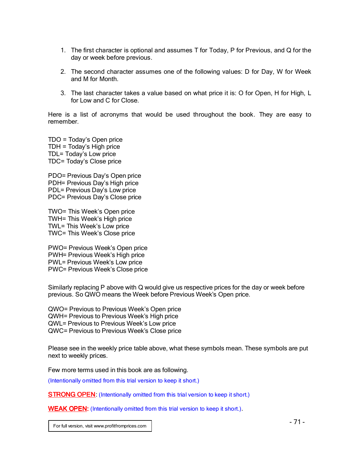- 1. The first character is optional and assumes T for Today, P for Previous, and Q for the day or week before previous.
- 2. The second character assumes one of the following values: D for Day, W for Week and M for Month.
- 3. The last character takes a value based on what price it is: O for Open, H for High, L for Low and C for Close.

Here is a list of acronyms that would be used throughout the book. They are easy to remember.

TDO = Today's Open price TDH = Today's High price TDL= Today's Low price TDC= Today's Close price

PDO= Previous Day's Open price PDH= Previous Day's High price PDL= Previous Day's Low price PDC= Previous Day's Close price

TWO= This Week's Open price TWH= This Week's High price TWL= This Week's Low price TWC= This Week's Close price

PWO= Previous Week's Open price PWH= Previous Week's High price PWL= Previous Week's Low price PWC= Previous Week's Close price

Similarly replacing P above with Q would give us respective prices for the day or week before previous. So QWO means the Week before Previous Week's Open price.

QWO= Previous to Previous Week's Open price QWH= Previous to Previous Week's High price QWL= Previous to Previous Week's Low price QWC= Previous to Previous Week's Close price

Please see in the weekly price table above, what these symbols mean. These symbols are put next to weekly prices.

Few more terms used in this book are as following.

(Intentionally omitted from this trial version to keep it short.)

**STRONG OPEN:** (Intentionally omitted from this trial version to keep it short.)

WEAK OPEN: (Intentionally omitted from this trial version to keep it short.).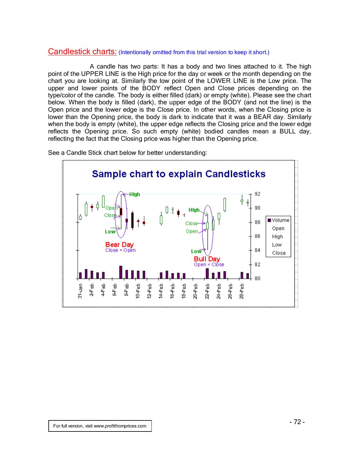#### Candlestick charts: (Intentionally omitted from this trial version to keep it short.)

A candle has two parts: It has a body and two lines attached to it. The high point of the UPPER LINE is the High price for the day or week or the month depending on the chart you are looking at. Similarly the low point of the LOWER LINE is the Low price. The upper and lower points of the BODY reflect Open and Close prices depending on the type/color of the candle. The body is either filled (dark) or empty (white). Please see the chart below. When the body is filled (dark), the upper edge of the BODY (and not the line) is the Open price and the lower edge is the Close price. In other words, when the Closing price is lower than the Opening price, the body is dark to indicate that it was a BEAR day. Similarly when the body is empty (white), the upper edge reflects the Closing price and the lower edge reflects the Opening price. So such empty (white) bodied candles mean a BULL day, reflecting the fact that the Closing price was higher than the Opening price.



See a Candle Stick chart below for better understanding: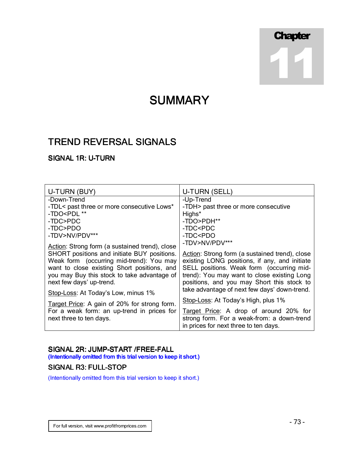# **Chapter** 11

## **SUMMARY**

## **TREND REVERSAL SIGNALS**

#### SIGNAL 1R: U-TURN

| U-TURN (BUY)                                                          | U-TURN (SELL)                                                                                                                 |
|-----------------------------------------------------------------------|-------------------------------------------------------------------------------------------------------------------------------|
| -Down-Trend                                                           | -Up-Trend                                                                                                                     |
| -TDL< past three or more consecutive Lows*                            | -TDH> past three or more consecutive                                                                                          |
| -TDO <pdl **<="" td=""><td>Highs*</td></pdl>                          | Highs*                                                                                                                        |
| -TDC>PDC                                                              | -TDO>PDH**                                                                                                                    |
| -TDC>PDO                                                              | -TDC <pdc< td=""></pdc<>                                                                                                      |
| -TDV>NV/PDV***                                                        | -TDC <pdo< td=""></pdo<>                                                                                                      |
| Action: Strong form (a sustained trend), close                        | -TDV>NV/PDV***                                                                                                                |
| SHORT positions and initiate BUY positions.                           | Action: Strong form (a sustained trend), close                                                                                |
| Weak form (occurring mid-trend): You may                              | existing LONG positions, if any, and initiate                                                                                 |
| want to close existing Short positions, and                           | SELL positions. Weak form (occurring mid-                                                                                     |
| you may Buy this stock to take advantage of                           | trend): You may want to close existing Long                                                                                   |
| next few days' up-trend.                                              | positions, and you may Short this stock to                                                                                    |
| Stop-Loss: At Today's Low, minus 1%                                   | take advantage of next few days' down-trend.                                                                                  |
| Target Price: A gain of 20% for strong form.                          | Stop-Loss: At Today's High, plus 1%                                                                                           |
| For a weak form: an up-trend in prices for<br>next three to ten days. | Target Price: A drop of around 20% for<br>strong form. For a weak-from: a down-trend<br>in prices for next three to ten days. |

#### SIGNAL 2R: JUMP-START /FREE-FALL

(Intentionally omitted from this trial version to keep it short.)

#### SIGNAL R3: FULL-STOP

(Intentionally omitted from this trial version to keep it short.)